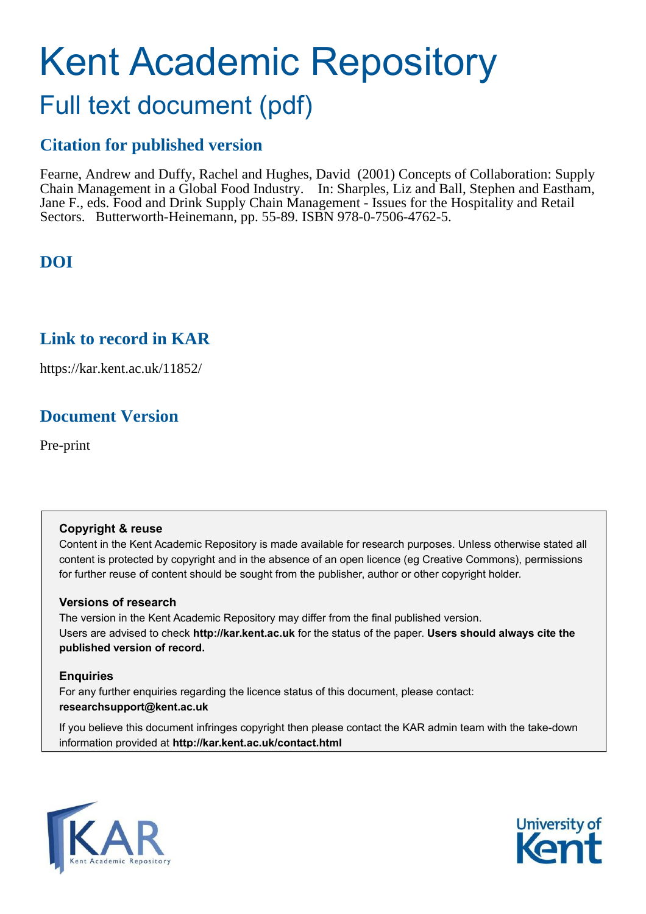# Kent Academic Repository

## Full text document (pdf)

## **Citation for published version**

Fearne, Andrew and Duffy, Rachel and Hughes, David (2001) Concepts of Collaboration: Supply Chain Management in a Global Food Industry. In: Sharples, Liz and Ball, Stephen and Eastham, Jane F., eds. Food and Drink Supply Chain Management - Issues for the Hospitality and Retail Sectors. Butterworth-Heinemann, pp. 55-89. ISBN 978-0-7506-4762-5.

## **DOI**

### **Link to record in KAR**

https://kar.kent.ac.uk/11852/

## **Document Version**

Pre-print

#### **Copyright & reuse**

Content in the Kent Academic Repository is made available for research purposes. Unless otherwise stated all content is protected by copyright and in the absence of an open licence (eg Creative Commons), permissions for further reuse of content should be sought from the publisher, author or other copyright holder.

#### **Versions of research**

The version in the Kent Academic Repository may differ from the final published version. Users are advised to check **http://kar.kent.ac.uk** for the status of the paper. **Users should always cite the published version of record.**

#### **Enquiries**

For any further enquiries regarding the licence status of this document, please contact: **researchsupport@kent.ac.uk**

If you believe this document infringes copyright then please contact the KAR admin team with the take-down information provided at **http://kar.kent.ac.uk/contact.html**



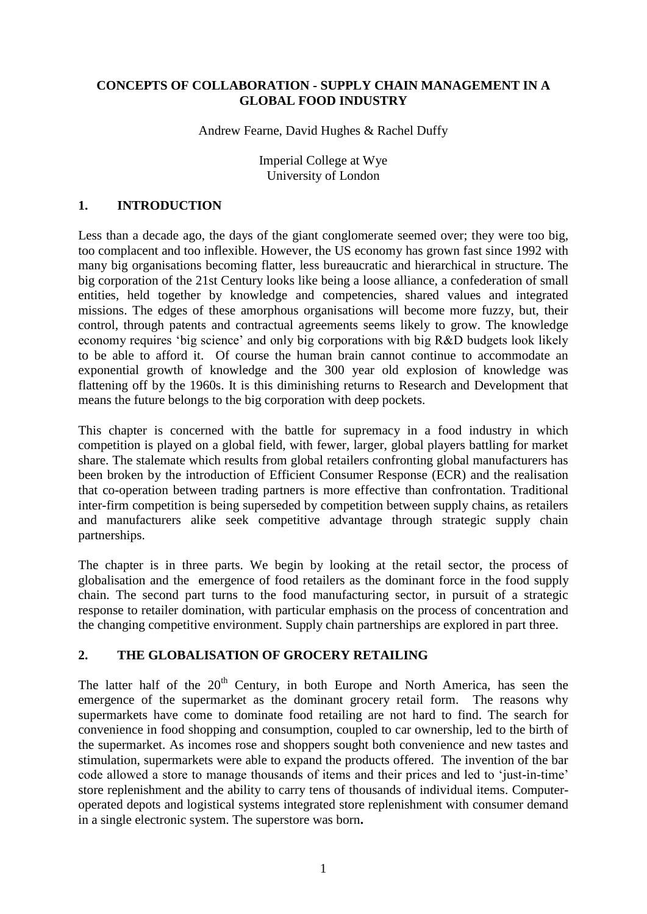#### **CONCEPTS OF COLLABORATION - SUPPLY CHAIN MANAGEMENT IN A GLOBAL FOOD INDUSTRY**

Andrew Fearne, David Hughes & Rachel Duffy

Imperial College at Wye University of London

#### **1. INTRODUCTION**

Less than a decade ago, the days of the giant conglomerate seemed over; they were too big, too complacent and too inflexible. However, the US economy has grown fast since 1992 with many big organisations becoming flatter, less bureaucratic and hierarchical in structure. The big corporation of the 21st Century looks like being a loose alliance, a confederation of small entities, held together by knowledge and competencies, shared values and integrated missions. The edges of these amorphous organisations will become more fuzzy, but, their control, through patents and contractual agreements seems likely to grow. The knowledge economy requires 'big science' and only big corporations with big R&D budgets look likely to be able to afford it. Of course the human brain cannot continue to accommodate an exponential growth of knowledge and the 300 year old explosion of knowledge was flattening off by the 1960s. It is this diminishing returns to Research and Development that means the future belongs to the big corporation with deep pockets.

This chapter is concerned with the battle for supremacy in a food industry in which competition is played on a global field, with fewer, larger, global players battling for market share. The stalemate which results from global retailers confronting global manufacturers has been broken by the introduction of Efficient Consumer Response (ECR) and the realisation that co-operation between trading partners is more effective than confrontation. Traditional inter-firm competition is being superseded by competition between supply chains, as retailers and manufacturers alike seek competitive advantage through strategic supply chain partnerships.

The chapter is in three parts. We begin by looking at the retail sector, the process of globalisation and the emergence of food retailers as the dominant force in the food supply chain. The second part turns to the food manufacturing sector, in pursuit of a strategic response to retailer domination, with particular emphasis on the process of concentration and the changing competitive environment. Supply chain partnerships are explored in part three.

#### **2. THE GLOBALISATION OF GROCERY RETAILING**

The latter half of the  $20<sup>th</sup>$  Century, in both Europe and North America, has seen the emergence of the supermarket as the dominant grocery retail form. The reasons why supermarkets have come to dominate food retailing are not hard to find. The search for convenience in food shopping and consumption, coupled to car ownership, led to the birth of the supermarket. As incomes rose and shoppers sought both convenience and new tastes and stimulation, supermarkets were able to expand the products offered. The invention of the bar code allowed a store to manage thousands of items and their prices and led to 'just-in-time' store replenishment and the ability to carry tens of thousands of individual items. Computeroperated depots and logistical systems integrated store replenishment with consumer demand in a single electronic system. The superstore was born**.**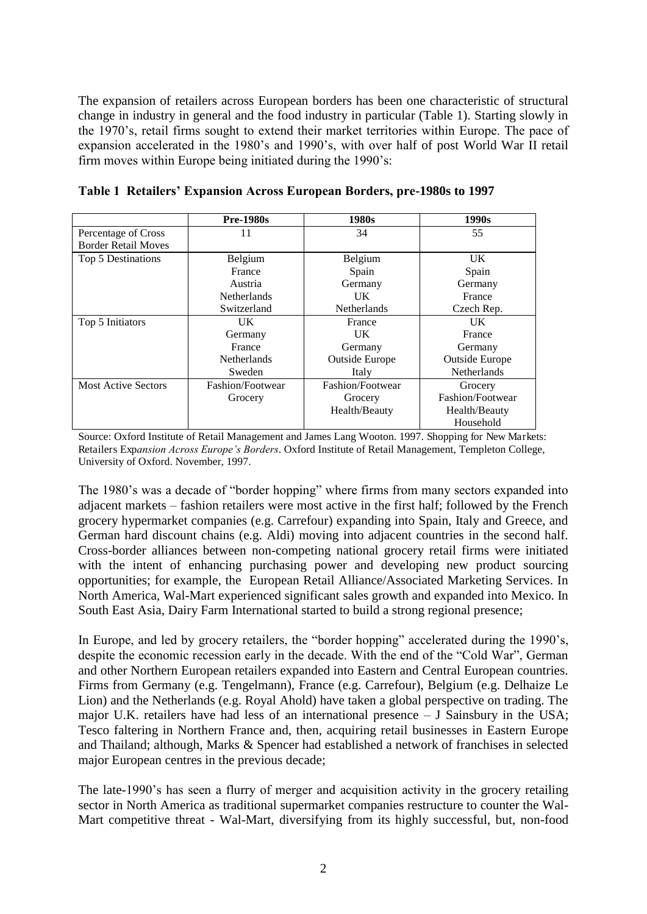The expansion of retailers across European borders has been one characteristic of structural change in industry in general and the food industry in particular (Table 1). Starting slowly in the 1970's, retail firms sought to extend their market territories within Europe. The pace of expansion accelerated in the 1980's and 1990's, with over half of post World War II retail firm moves within Europe being initiated during the 1990's:

|                            | <b>Pre-1980s</b>   | 1980s                 | 1990s                 |
|----------------------------|--------------------|-----------------------|-----------------------|
| Percentage of Cross        | 11                 | 34                    | 55                    |
| <b>Border Retail Moves</b> |                    |                       |                       |
| Top 5 Destinations         | Belgium            | Belgium               | UK.                   |
|                            | France             | Spain                 | Spain                 |
|                            | Austria            | Germany               | Germany               |
|                            | <b>Netherlands</b> | UK.                   | France                |
|                            | Switzerland        | Netherlands           | Czech Rep.            |
| Top 5 Initiators           | UK                 | France                | $I$ <sub>K</sub>      |
|                            | Germany            | UK.                   | France                |
|                            | France             | Germany               | Germany               |
|                            | <b>Netherlands</b> | <b>Outside Europe</b> | <b>Outside Europe</b> |
|                            | Sweden             | Italy                 | <b>Netherlands</b>    |
| <b>Most Active Sectors</b> | Fashion/Footwear   | Fashion/Footwear      | Grocery               |
|                            | Grocery            | Grocery               | Fashion/Footwear      |
|                            |                    | Health/Beauty         | Health/Beauty         |
|                            |                    |                       | Household             |

**Table 1 Retailers' Expansion Across European Borders, pre-1980s to 1997** 

Source: Oxford Institute of Retail Management and James Lang Wooton. 1997. Shopping for New Markets: Retailers Exp*ansion Across Europe's Borders*. Oxford Institute of Retail Management, Templeton College, University of Oxford. November, 1997.

The 1980's was a decade of "border hopping" where firms from many sectors expanded into adjacent markets – fashion retailers were most active in the first half; followed by the French grocery hypermarket companies (e.g. Carrefour) expanding into Spain, Italy and Greece, and German hard discount chains (e.g. Aldi) moving into adjacent countries in the second half. Cross-border alliances between non-competing national grocery retail firms were initiated with the intent of enhancing purchasing power and developing new product sourcing opportunities; for example, the European Retail Alliance/Associated Marketing Services. In North America, Wal-Mart experienced significant sales growth and expanded into Mexico. In South East Asia, Dairy Farm International started to build a strong regional presence;

In Europe, and led by grocery retailers, the "border hopping" accelerated during the 1990's, despite the economic recession early in the decade. With the end of the "Cold War", German and other Northern European retailers expanded into Eastern and Central European countries. Firms from Germany (e.g. Tengelmann), France (e.g. Carrefour), Belgium (e.g. Delhaize Le Lion) and the Netherlands (e.g. Royal Ahold) have taken a global perspective on trading. The major U.K. retailers have had less of an international presence – J Sainsbury in the USA; Tesco faltering in Northern France and, then, acquiring retail businesses in Eastern Europe and Thailand; although, Marks & Spencer had established a network of franchises in selected major European centres in the previous decade;

The late-1990's has seen a flurry of merger and acquisition activity in the grocery retailing sector in North America as traditional supermarket companies restructure to counter the Wal-Mart competitive threat - Wal-Mart, diversifying from its highly successful, but, non-food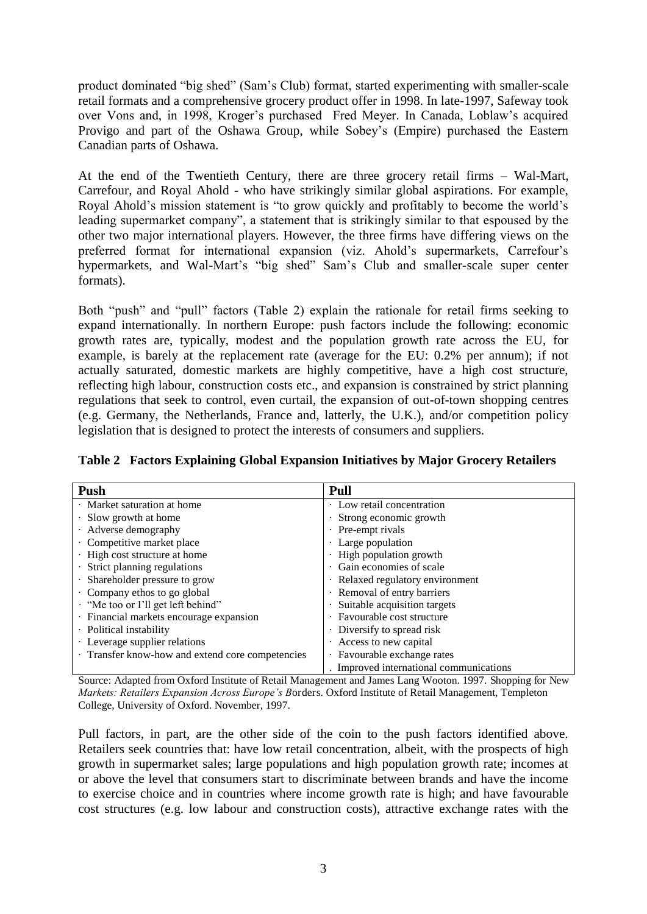product dominated "big shed" (Sam's Club) format, started experimenting with smaller-scale retail formats and a comprehensive grocery product offer in 1998. In late-1997, Safeway took over Vons and, in 1998, Kroger's purchased Fred Meyer. In Canada, Loblaw's acquired Provigo and part of the Oshawa Group, while Sobey's (Empire) purchased the Eastern Canadian parts of Oshawa.

At the end of the Twentieth Century, there are three grocery retail firms – Wal-Mart, Carrefour, and Royal Ahold - who have strikingly similar global aspirations. For example, Royal Ahold's mission statement is "to grow quickly and profitably to become the world's leading supermarket company", a statement that is strikingly similar to that espoused by the other two major international players. However, the three firms have differing views on the preferred format for international expansion (viz. Ahold's supermarkets, Carrefour's hypermarkets, and Wal-Mart's "big shed" Sam's Club and smaller-scale super center formats).

Both "push" and "pull" factors (Table 2) explain the rationale for retail firms seeking to expand internationally. In northern Europe: push factors include the following: economic growth rates are, typically, modest and the population growth rate across the EU, for example, is barely at the replacement rate (average for the EU: 0.2% per annum); if not actually saturated, domestic markets are highly competitive, have a high cost structure, reflecting high labour, construction costs etc., and expansion is constrained by strict planning regulations that seek to control, even curtail, the expansion of out-of-town shopping centres (e.g. Germany, the Netherlands, France and, latterly, the U.K.), and/or competition policy legislation that is designed to protect the interests of consumers and suppliers.

|  |  | Table 2 Factors Explaining Global Expansion Initiatives by Major Grocery Retailers |  |  |  |  |
|--|--|------------------------------------------------------------------------------------|--|--|--|--|
|--|--|------------------------------------------------------------------------------------|--|--|--|--|

| Push                                                      | Pull                                    |
|-----------------------------------------------------------|-----------------------------------------|
| · Market saturation at home                               | • Low retail concentration              |
| · Slow growth at home                                     | · Strong economic growth                |
| Adverse demography                                        | Pre-empt rivals                         |
| · Competitive market place                                | Large population<br>$\cdot$             |
| · High cost structure at home                             | · High population growth                |
| · Strict planning regulations                             | Gain economies of scale                 |
| · Shareholder pressure to grow                            | Relaxed regulatory environment<br>٠     |
| Company ethos to go global                                | Removal of entry barriers<br>$\cdot$    |
| . "Me too or I'll get left behind"                        | Suitable acquisition targets<br>$\cdot$ |
| · Financial markets encourage expansion                   | Favourable cost structure               |
| • Political instability                                   | Diversify to spread risk<br>٠           |
| · Leverage supplier relations                             | Access to new capital<br>٠              |
| Transfer know-how and extend core competencies<br>$\cdot$ | Favourable exchange rates<br>٠          |
|                                                           | Improved international communications   |

Source: Adapted from Oxford Institute of Retail Management and James Lang Wooton. 1997. Shopping for New *Markets: Retailers Expansion Across Europe's B*orders. Oxford Institute of Retail Management, Templeton College, University of Oxford. November, 1997.

Pull factors, in part, are the other side of the coin to the push factors identified above. Retailers seek countries that: have low retail concentration, albeit, with the prospects of high growth in supermarket sales; large populations and high population growth rate; incomes at or above the level that consumers start to discriminate between brands and have the income to exercise choice and in countries where income growth rate is high; and have favourable cost structures (e.g. low labour and construction costs), attractive exchange rates with the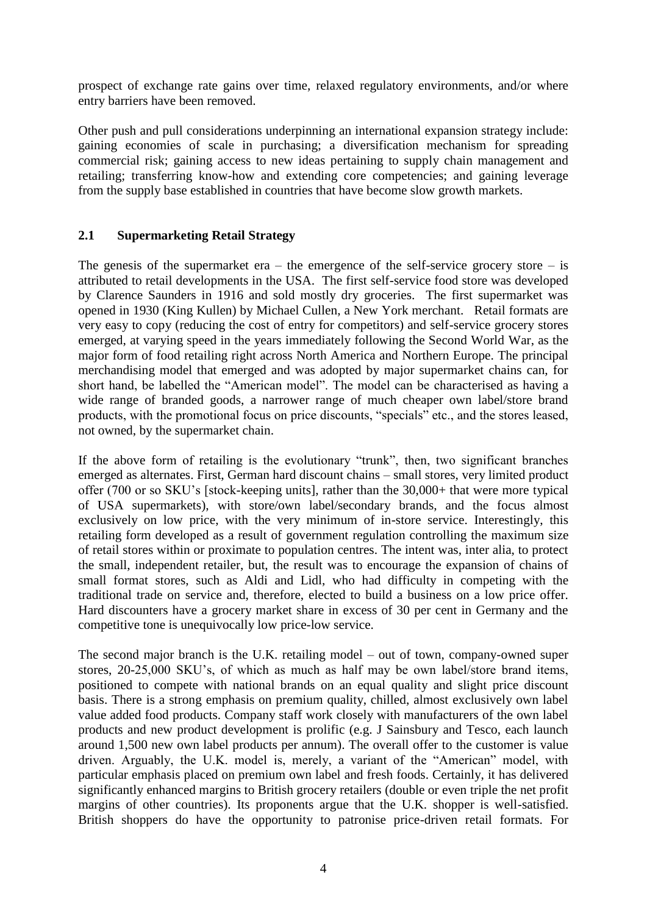prospect of exchange rate gains over time, relaxed regulatory environments, and/or where entry barriers have been removed.

Other push and pull considerations underpinning an international expansion strategy include: gaining economies of scale in purchasing; a diversification mechanism for spreading commercial risk; gaining access to new ideas pertaining to supply chain management and retailing; transferring know-how and extending core competencies; and gaining leverage from the supply base established in countries that have become slow growth markets.

#### **2.1 Supermarketing Retail Strategy**

The genesis of the supermarket era – the emergence of the self-service grocery store – is attributed to retail developments in the USA. The first self-service food store was developed by Clarence Saunders in 1916 and sold mostly dry groceries. The first supermarket was opened in 1930 (King Kullen) by Michael Cullen, a New York merchant. Retail formats are very easy to copy (reducing the cost of entry for competitors) and self-service grocery stores emerged, at varying speed in the years immediately following the Second World War, as the major form of food retailing right across North America and Northern Europe. The principal merchandising model that emerged and was adopted by major supermarket chains can, for short hand, be labelled the "American model". The model can be characterised as having a wide range of branded goods, a narrower range of much cheaper own label/store brand products, with the promotional focus on price discounts, "specials" etc., and the stores leased, not owned, by the supermarket chain.

If the above form of retailing is the evolutionary "trunk", then, two significant branches emerged as alternates. First, German hard discount chains – small stores, very limited product offer (700 or so SKU's [stock-keeping units], rather than the 30,000+ that were more typical of USA supermarkets), with store/own label/secondary brands, and the focus almost exclusively on low price, with the very minimum of in-store service. Interestingly, this retailing form developed as a result of government regulation controlling the maximum size of retail stores within or proximate to population centres. The intent was, inter alia, to protect the small, independent retailer, but, the result was to encourage the expansion of chains of small format stores, such as Aldi and Lidl, who had difficulty in competing with the traditional trade on service and, therefore, elected to build a business on a low price offer. Hard discounters have a grocery market share in excess of 30 per cent in Germany and the competitive tone is unequivocally low price-low service.

The second major branch is the U.K. retailing model – out of town, company-owned super stores, 20-25,000 SKU's, of which as much as half may be own label/store brand items, positioned to compete with national brands on an equal quality and slight price discount basis. There is a strong emphasis on premium quality, chilled, almost exclusively own label value added food products. Company staff work closely with manufacturers of the own label products and new product development is prolific (e.g. J Sainsbury and Tesco, each launch around 1,500 new own label products per annum). The overall offer to the customer is value driven. Arguably, the U.K. model is, merely, a variant of the "American" model, with particular emphasis placed on premium own label and fresh foods. Certainly, it has delivered significantly enhanced margins to British grocery retailers (double or even triple the net profit margins of other countries). Its proponents argue that the U.K. shopper is well-satisfied. British shoppers do have the opportunity to patronise price-driven retail formats. For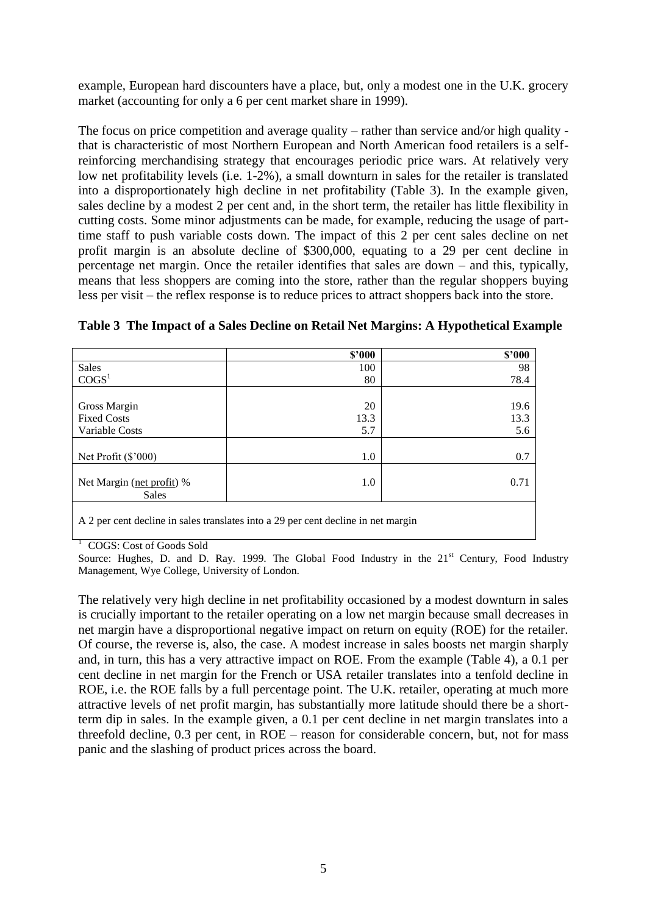example, European hard discounters have a place, but, only a modest one in the U.K. grocery market (accounting for only a 6 per cent market share in 1999).

The focus on price competition and average quality – rather than service and/or high quality that is characteristic of most Northern European and North American food retailers is a selfreinforcing merchandising strategy that encourages periodic price wars. At relatively very low net profitability levels (i.e. 1-2%), a small downturn in sales for the retailer is translated into a disproportionately high decline in net profitability (Table 3). In the example given, sales decline by a modest 2 per cent and, in the short term, the retailer has little flexibility in cutting costs. Some minor adjustments can be made, for example, reducing the usage of parttime staff to push variable costs down. The impact of this 2 per cent sales decline on net profit margin is an absolute decline of \$300,000, equating to a 29 per cent decline in percentage net margin. Once the retailer identifies that sales are down – and this, typically, means that less shoppers are coming into the store, rather than the regular shoppers buying less per visit – the reflex response is to reduce prices to attract shoppers back into the store.

|                                                                                   | \$2000 | \$2000 |  |  |  |  |
|-----------------------------------------------------------------------------------|--------|--------|--|--|--|--|
| <b>Sales</b>                                                                      | 100    | 98     |  |  |  |  |
| COGS <sup>1</sup>                                                                 | 80     | 78.4   |  |  |  |  |
|                                                                                   |        |        |  |  |  |  |
| Gross Margin                                                                      | 20     | 19.6   |  |  |  |  |
| <b>Fixed Costs</b>                                                                | 13.3   | 13.3   |  |  |  |  |
| Variable Costs                                                                    | 5.7    | 5.6    |  |  |  |  |
|                                                                                   |        |        |  |  |  |  |
| Net Profit $(\$'000)$                                                             | 1.0    | 0.7    |  |  |  |  |
|                                                                                   |        |        |  |  |  |  |
| Net Margin (net profit) %                                                         | 1.0    | 0.71   |  |  |  |  |
| Sales                                                                             |        |        |  |  |  |  |
|                                                                                   |        |        |  |  |  |  |
| A 2 per cent decline in sales translates into a 29 per cent decline in net margin |        |        |  |  |  |  |

**Table 3 The Impact of a Sales Decline on Retail Net Margins: A Hypothetical Example** 

<sup>1</sup>COGS: Cost of Goods Sold

Source: Hughes, D. and D. Ray. 1999. The Global Food Industry in the  $21<sup>st</sup>$  Century, Food Industry Management, Wye College, University of London.

The relatively very high decline in net profitability occasioned by a modest downturn in sales is crucially important to the retailer operating on a low net margin because small decreases in net margin have a disproportional negative impact on return on equity (ROE) for the retailer. Of course, the reverse is, also, the case. A modest increase in sales boosts net margin sharply and, in turn, this has a very attractive impact on ROE. From the example (Table 4), a 0.1 per cent decline in net margin for the French or USA retailer translates into a tenfold decline in ROE, i.e. the ROE falls by a full percentage point. The U.K. retailer, operating at much more attractive levels of net profit margin, has substantially more latitude should there be a shortterm dip in sales. In the example given, a 0.1 per cent decline in net margin translates into a threefold decline, 0.3 per cent, in ROE – reason for considerable concern, but, not for mass panic and the slashing of product prices across the board.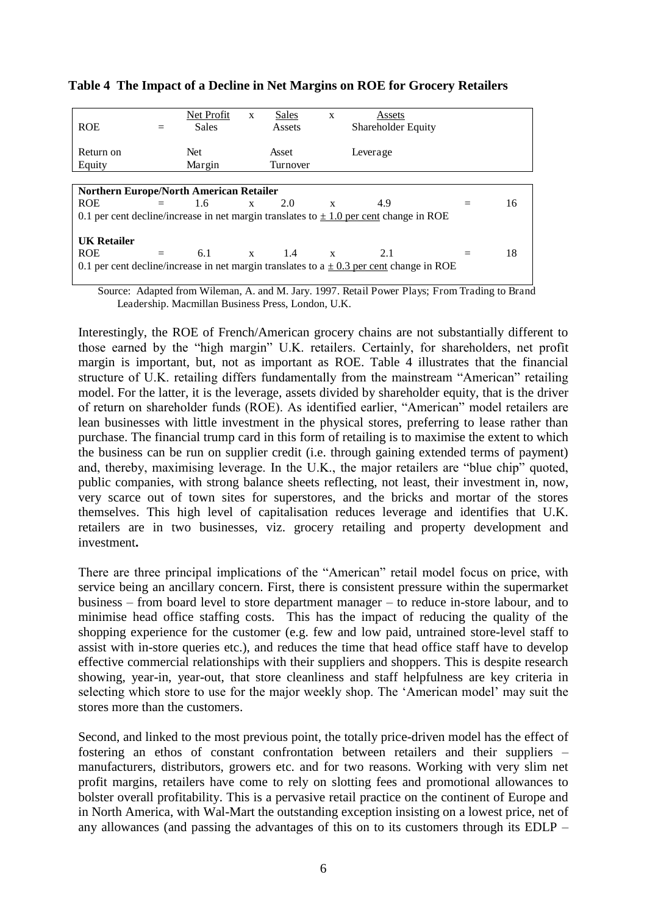| <b>ROE</b>                                                                                   |  | Net Profit<br><b>Sales</b> | X            | <b>Sales</b><br>Assets | X | Assets<br><b>Shareholder Equity</b>                                                        |    |
|----------------------------------------------------------------------------------------------|--|----------------------------|--------------|------------------------|---|--------------------------------------------------------------------------------------------|----|
|                                                                                              |  |                            |              |                        |   |                                                                                            |    |
| Return on                                                                                    |  | Net.                       |              | Asset                  |   | Leverage                                                                                   |    |
| Equity                                                                                       |  | Margin                     |              | Turnover               |   |                                                                                            |    |
|                                                                                              |  |                            |              |                        |   |                                                                                            |    |
| <b>Northern Europe/North American Retailer</b>                                               |  |                            |              |                        |   |                                                                                            |    |
| <b>ROE</b>                                                                                   |  | 1.6                        | $\mathbf{x}$ | 2.0                    | X | 4.9                                                                                        | 16 |
|                                                                                              |  |                            |              |                        |   | 0.1 per cent decline/increase in net margin translates to $\pm$ 1.0 per cent change in ROE |    |
|                                                                                              |  |                            |              |                        |   |                                                                                            |    |
| <b>UK Retailer</b>                                                                           |  |                            |              |                        |   |                                                                                            |    |
| <b>ROE</b>                                                                                   |  | 6.1                        | $\mathbf{x}$ | 1.4                    | X | 2.1                                                                                        | 18 |
| 0.1 per cent decline/increase in net margin translates to a $\pm$ 0.3 per cent change in ROE |  |                            |              |                        |   |                                                                                            |    |

#### **Table 4 The Impact of a Decline in Net Margins on ROE for Grocery Retailers**

Source: Adapted from Wileman, A. and M. Jary. 1997. Retail Power Plays; From Trading to Brand Leadership. Macmillan Business Press, London, U.K.

Interestingly, the ROE of French/American grocery chains are not substantially different to those earned by the "high margin" U.K. retailers. Certainly, for shareholders, net profit margin is important, but, not as important as ROE. Table 4 illustrates that the financial structure of U.K. retailing differs fundamentally from the mainstream "American" retailing model. For the latter, it is the leverage, assets divided by shareholder equity, that is the driver of return on shareholder funds (ROE). As identified earlier, "American" model retailers are lean businesses with little investment in the physical stores, preferring to lease rather than purchase. The financial trump card in this form of retailing is to maximise the extent to which the business can be run on supplier credit (i.e. through gaining extended terms of payment) and, thereby, maximising leverage. In the U.K., the major retailers are "blue chip" quoted, public companies, with strong balance sheets reflecting, not least, their investment in, now, very scarce out of town sites for superstores, and the bricks and mortar of the stores themselves. This high level of capitalisation reduces leverage and identifies that U.K. retailers are in two businesses, viz. grocery retailing and property development and investment**.** 

There are three principal implications of the "American" retail model focus on price, with service being an ancillary concern. First, there is consistent pressure within the supermarket business – from board level to store department manager – to reduce in-store labour, and to minimise head office staffing costs. This has the impact of reducing the quality of the shopping experience for the customer (e.g. few and low paid, untrained store-level staff to assist with in-store queries etc.), and reduces the time that head office staff have to develop effective commercial relationships with their suppliers and shoppers. This is despite research showing, year-in, year-out, that store cleanliness and staff helpfulness are key criteria in selecting which store to use for the major weekly shop. The 'American model' may suit the stores more than the customers.

Second, and linked to the most previous point, the totally price-driven model has the effect of fostering an ethos of constant confrontation between retailers and their suppliers – manufacturers, distributors, growers etc. and for two reasons. Working with very slim net profit margins, retailers have come to rely on slotting fees and promotional allowances to bolster overall profitability. This is a pervasive retail practice on the continent of Europe and in North America, with Wal-Mart the outstanding exception insisting on a lowest price, net of any allowances (and passing the advantages of this on to its customers through its EDLP –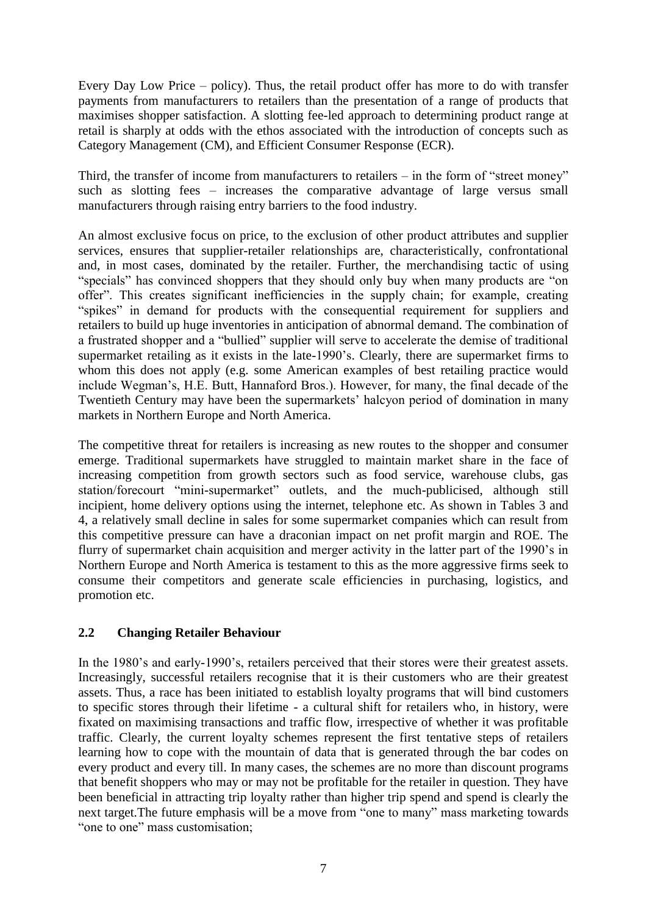Every Day Low Price – policy). Thus, the retail product offer has more to do with transfer payments from manufacturers to retailers than the presentation of a range of products that maximises shopper satisfaction. A slotting fee-led approach to determining product range at retail is sharply at odds with the ethos associated with the introduction of concepts such as Category Management (CM), and Efficient Consumer Response (ECR).

Third, the transfer of income from manufacturers to retailers – in the form of "street money" such as slotting fees – increases the comparative advantage of large versus small manufacturers through raising entry barriers to the food industry.

An almost exclusive focus on price, to the exclusion of other product attributes and supplier services, ensures that supplier-retailer relationships are, characteristically, confrontational and, in most cases, dominated by the retailer. Further, the merchandising tactic of using "specials" has convinced shoppers that they should only buy when many products are "on offer". This creates significant inefficiencies in the supply chain; for example, creating "spikes" in demand for products with the consequential requirement for suppliers and retailers to build up huge inventories in anticipation of abnormal demand. The combination of a frustrated shopper and a "bullied" supplier will serve to accelerate the demise of traditional supermarket retailing as it exists in the late-1990's. Clearly, there are supermarket firms to whom this does not apply (e.g. some American examples of best retailing practice would include Wegman's, H.E. Butt, Hannaford Bros.). However, for many, the final decade of the Twentieth Century may have been the supermarkets' halcyon period of domination in many markets in Northern Europe and North America.

The competitive threat for retailers is increasing as new routes to the shopper and consumer emerge. Traditional supermarkets have struggled to maintain market share in the face of increasing competition from growth sectors such as food service, warehouse clubs, gas station/forecourt "mini-supermarket" outlets, and the much-publicised, although still incipient, home delivery options using the internet, telephone etc. As shown in Tables 3 and 4, a relatively small decline in sales for some supermarket companies which can result from this competitive pressure can have a draconian impact on net profit margin and ROE. The flurry of supermarket chain acquisition and merger activity in the latter part of the 1990's in Northern Europe and North America is testament to this as the more aggressive firms seek to consume their competitors and generate scale efficiencies in purchasing, logistics, and promotion etc.

#### **2.2 Changing Retailer Behaviour**

In the 1980's and early-1990's, retailers perceived that their stores were their greatest assets. Increasingly, successful retailers recognise that it is their customers who are their greatest assets. Thus, a race has been initiated to establish loyalty programs that will bind customers to specific stores through their lifetime - a cultural shift for retailers who, in history, were fixated on maximising transactions and traffic flow, irrespective of whether it was profitable traffic. Clearly, the current loyalty schemes represent the first tentative steps of retailers learning how to cope with the mountain of data that is generated through the bar codes on every product and every till. In many cases, the schemes are no more than discount programs that benefit shoppers who may or may not be profitable for the retailer in question. They have been beneficial in attracting trip loyalty rather than higher trip spend and spend is clearly the next target.The future emphasis will be a move from "one to many" mass marketing towards "one to one" mass customisation;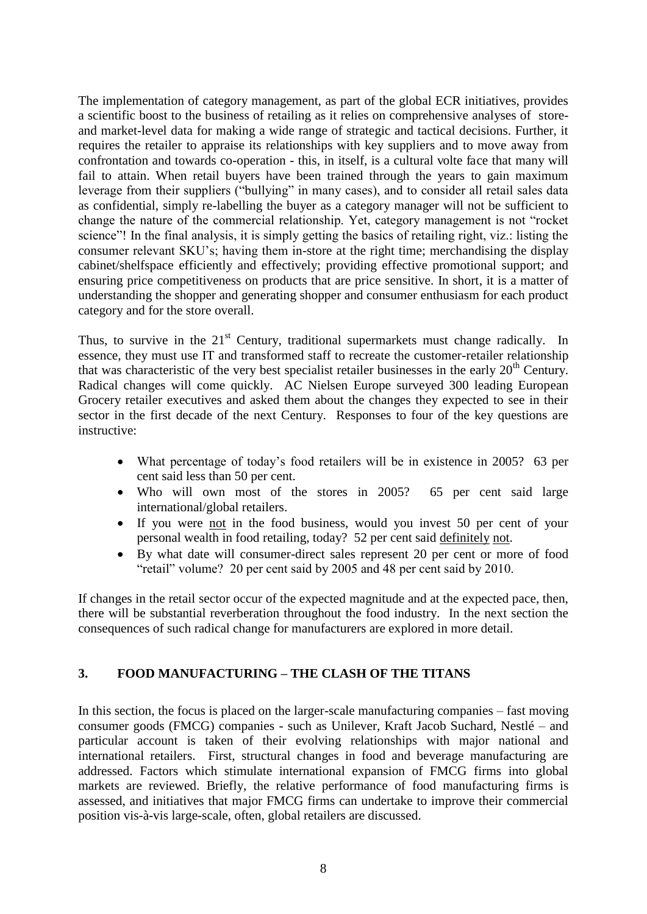The implementation of category management, as part of the global ECR initiatives, provides a scientific boost to the business of retailing as it relies on comprehensive analyses of storeand market-level data for making a wide range of strategic and tactical decisions. Further, it requires the retailer to appraise its relationships with key suppliers and to move away from confrontation and towards co-operation - this, in itself, is a cultural volte face that many will fail to attain. When retail buyers have been trained through the years to gain maximum leverage from their suppliers ("bullying" in many cases), and to consider all retail sales data as confidential, simply re-labelling the buyer as a category manager will not be sufficient to change the nature of the commercial relationship. Yet, category management is not "rocket science"! In the final analysis, it is simply getting the basics of retailing right, viz.: listing the consumer relevant SKU's; having them in-store at the right time; merchandising the display cabinet/shelfspace efficiently and effectively; providing effective promotional support; and ensuring price competitiveness on products that are price sensitive. In short, it is a matter of understanding the shopper and generating shopper and consumer enthusiasm for each product category and for the store overall.

Thus, to survive in the  $21<sup>st</sup>$  Century, traditional supermarkets must change radically. In essence, they must use IT and transformed staff to recreate the customer-retailer relationship that was characteristic of the very best specialist retailer businesses in the early  $20<sup>th</sup>$  Century. Radical changes will come quickly. AC Nielsen Europe surveyed 300 leading European Grocery retailer executives and asked them about the changes they expected to see in their sector in the first decade of the next Century. Responses to four of the key questions are instructive:

- What percentage of today's food retailers will be in existence in 2005? 63 per cent said less than 50 per cent.
- Who will own most of the stores in 2005? 65 per cent said large international/global retailers.
- If you were not in the food business, would you invest 50 per cent of your personal wealth in food retailing, today? 52 per cent said definitely not.
- By what date will consumer-direct sales represent 20 per cent or more of food "retail" volume? 20 per cent said by 2005 and 48 per cent said by 2010.

If changes in the retail sector occur of the expected magnitude and at the expected pace, then, there will be substantial reverberation throughout the food industry. In the next section the consequences of such radical change for manufacturers are explored in more detail.

#### **3. FOOD MANUFACTURING – THE CLASH OF THE TITANS**

In this section, the focus is placed on the larger-scale manufacturing companies – fast moving consumer goods (FMCG) companies - such as Unilever, Kraft Jacob Suchard, Nestlé – and particular account is taken of their evolving relationships with major national and international retailers. First, structural changes in food and beverage manufacturing are addressed. Factors which stimulate international expansion of FMCG firms into global markets are reviewed. Briefly, the relative performance of food manufacturing firms is assessed, and initiatives that major FMCG firms can undertake to improve their commercial position vis-à-vis large-scale, often, global retailers are discussed.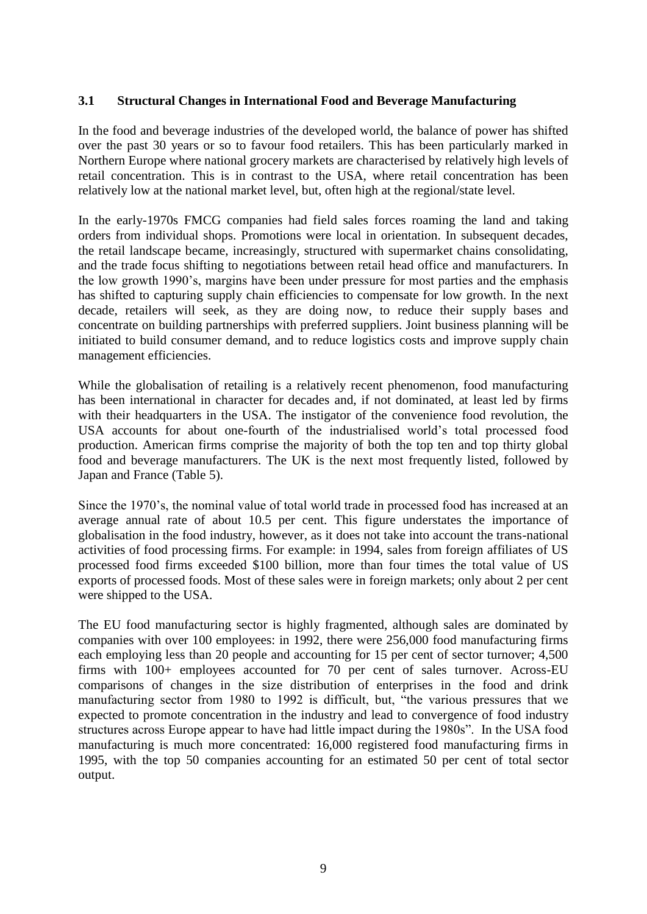#### **3.1 Structural Changes in International Food and Beverage Manufacturing**

In the food and beverage industries of the developed world, the balance of power has shifted over the past 30 years or so to favour food retailers. This has been particularly marked in Northern Europe where national grocery markets are characterised by relatively high levels of retail concentration. This is in contrast to the USA, where retail concentration has been relatively low at the national market level, but, often high at the regional/state level.

In the early-1970s FMCG companies had field sales forces roaming the land and taking orders from individual shops. Promotions were local in orientation. In subsequent decades, the retail landscape became, increasingly, structured with supermarket chains consolidating, and the trade focus shifting to negotiations between retail head office and manufacturers. In the low growth 1990's, margins have been under pressure for most parties and the emphasis has shifted to capturing supply chain efficiencies to compensate for low growth. In the next decade, retailers will seek, as they are doing now, to reduce their supply bases and concentrate on building partnerships with preferred suppliers. Joint business planning will be initiated to build consumer demand, and to reduce logistics costs and improve supply chain management efficiencies.

While the globalisation of retailing is a relatively recent phenomenon, food manufacturing has been international in character for decades and, if not dominated, at least led by firms with their headquarters in the USA. The instigator of the convenience food revolution, the USA accounts for about one-fourth of the industrialised world's total processed food production. American firms comprise the majority of both the top ten and top thirty global food and beverage manufacturers. The UK is the next most frequently listed, followed by Japan and France (Table 5).

Since the 1970's, the nominal value of total world trade in processed food has increased at an average annual rate of about 10.5 per cent. This figure understates the importance of globalisation in the food industry, however, as it does not take into account the trans-national activities of food processing firms. For example: in 1994, sales from foreign affiliates of US processed food firms exceeded \$100 billion, more than four times the total value of US exports of processed foods. Most of these sales were in foreign markets; only about 2 per cent were shipped to the USA.

The EU food manufacturing sector is highly fragmented, although sales are dominated by companies with over 100 employees: in 1992, there were 256,000 food manufacturing firms each employing less than 20 people and accounting for 15 per cent of sector turnover; 4,500 firms with 100+ employees accounted for 70 per cent of sales turnover. Across-EU comparisons of changes in the size distribution of enterprises in the food and drink manufacturing sector from 1980 to 1992 is difficult, but, "the various pressures that we expected to promote concentration in the industry and lead to convergence of food industry structures across Europe appear to have had little impact during the 1980s". In the USA food manufacturing is much more concentrated: 16,000 registered food manufacturing firms in 1995, with the top 50 companies accounting for an estimated 50 per cent of total sector output.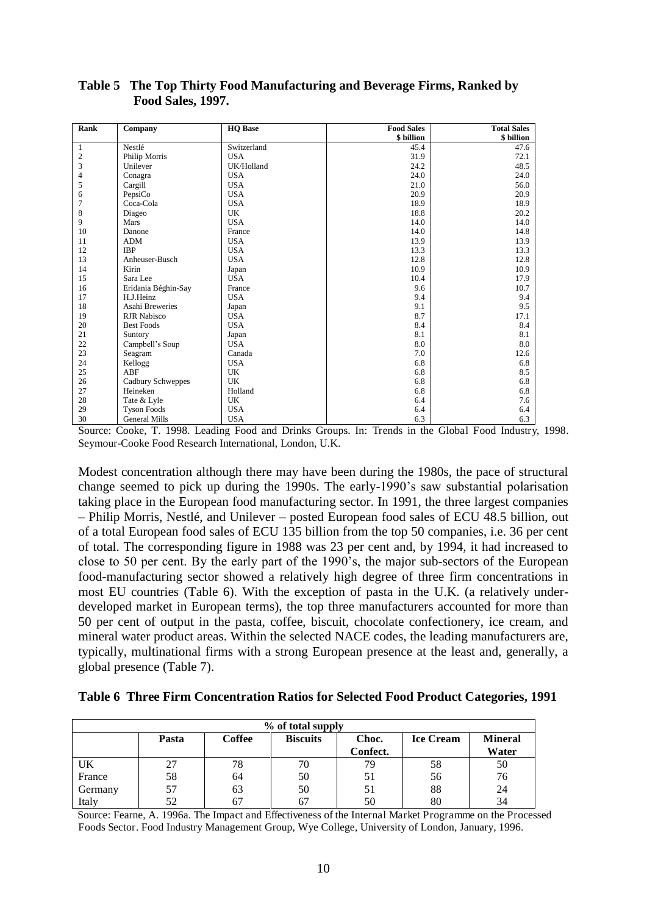| Rank           | Company              | <b>HQ</b> Base | <b>Food Sales</b> | <b>Total Sales</b> |
|----------------|----------------------|----------------|-------------------|--------------------|
|                |                      |                | \$ billion        | \$ billion         |
| 1              | Nestlé               | Switzerland    | 45.4              | 47.6               |
| $\overline{c}$ | Philip Morris        | <b>USA</b>     | 31.9              | 72.1               |
| 3              | Unilever             | UK/Holland     | 24.2              | 48.5               |
| 4              | Conagra              | <b>USA</b>     | 24.0              | 24.0               |
| 5              | Cargill              | <b>USA</b>     | 21.0              | 56.0               |
| 6              | PepsiCo              | <b>USA</b>     | 20.9              | 20.9               |
| 7              | Coca-Cola            | <b>USA</b>     | 18.9              | 18.9               |
| 8              | Diageo               | UK             | 18.8              | 20.2               |
| 9              | Mars                 | <b>USA</b>     | 14.0              | 14.0               |
| 10             | Danone               | France         | 14.0              | 14.8               |
| 11             | <b>ADM</b>           | <b>USA</b>     | 13.9              | 13.9               |
| 12             | <b>IBP</b>           | <b>USA</b>     | 13.3              | 13.3               |
| 13             | Anheuser-Busch       | <b>USA</b>     | 12.8              | 12.8               |
| 14             | Kirin                | Japan          | 10.9              | 10.9               |
| 15             | Sara Lee             | <b>USA</b>     | 10.4              | 17.9               |
| 16             | Eridania Béghin-Say  | France         | 9.6               | 10.7               |
| 17             | H.J.Heinz            | <b>USA</b>     | 9.4               | 9.4                |
| 18             | Asahi Breweries      | Japan          | 9.1               | 9.5                |
| 19             | <b>RJR</b> Nabisco   | <b>USA</b>     | 8.7               | 17.1               |
| 20             | <b>Best Foods</b>    | <b>USA</b>     | 8.4               | 8.4                |
| 21             | Suntory              | Japan          | 8.1               | 8.1                |
| 22             | Campbell's Soup      | <b>USA</b>     | 8.0               | 8.0                |
| 23             | Seagram              | Canada         | 7.0               | 12.6               |
| 24             | Kellogg              | <b>USA</b>     | 6.8               | 6.8                |
| 25             | ABF                  | UK             | 6.8               | 8.5                |
| 26             | Cadbury Schweppes    | UK             | 6.8               | 6.8                |
| 27             | Heineken             | Holland        | 6.8               | 6.8                |
| 28             | Tate & Lyle          | <b>UK</b>      | 6.4               | 7.6                |
| 29             | <b>Tyson Foods</b>   | <b>USA</b>     | 6.4               | 6.4                |
| 30             | <b>General Mills</b> | <b>USA</b>     | 6.3               | 6.3                |

#### **Table 5 The Top Thirty Food Manufacturing and Beverage Firms, Ranked by Food Sales, 1997.**

Source: Cooke, T. 1998. Leading Food and Drinks Groups. In: Trends in the Global Food Industry, 1998. Seymour-Cooke Food Research International, London, U.K.

Modest concentration although there may have been during the 1980s, the pace of structural change seemed to pick up during the 1990s. The early-1990's saw substantial polarisation taking place in the European food manufacturing sector. In 1991, the three largest companies – Philip Morris, Nestlé, and Unilever – posted European food sales of ECU 48.5 billion, out of a total European food sales of ECU 135 billion from the top 50 companies, i.e. 36 per cent of total. The corresponding figure in 1988 was 23 per cent and, by 1994, it had increased to close to 50 per cent. By the early part of the 1990's, the major sub-sectors of the European food-manufacturing sector showed a relatively high degree of three firm concentrations in most EU countries (Table 6). With the exception of pasta in the U.K. (a relatively underdeveloped market in European terms), the top three manufacturers accounted for more than 50 per cent of output in the pasta, coffee, biscuit, chocolate confectionery, ice cream, and mineral water product areas. Within the selected NACE codes, the leading manufacturers are, typically, multinational firms with a strong European presence at the least and, generally, a global presence (Table 7).

|  | Table 6 Three Firm Concentration Ratios for Selected Food Product Categories, 1991 |  |  |  |
|--|------------------------------------------------------------------------------------|--|--|--|
|  |                                                                                    |  |  |  |

| % of total supply |       |               |                 |          |                  |                |  |
|-------------------|-------|---------------|-----------------|----------|------------------|----------------|--|
|                   | Pasta | <b>Coffee</b> | <b>Biscuits</b> | Choc.    | <b>Ice Cream</b> | <b>Mineral</b> |  |
|                   |       |               |                 | Confect. |                  | Water          |  |
| UK                | 27    | 78            | 70              | 79       | 58               | 50             |  |
| France            | 58    | 64            | 50              | 51       | 56               | 76             |  |
| Germany           | 57    | 63            | 50              | 51       | 88               | 24             |  |
| Italy             | 52    | 67            | 67              | 50       | 80               | 34             |  |

Source: Fearne, A. 1996a. The Impact and Effectiveness of the Internal Market Programme on the Processed Foods Sector. Food Industry Management Group, Wye College, University of London, January, 1996.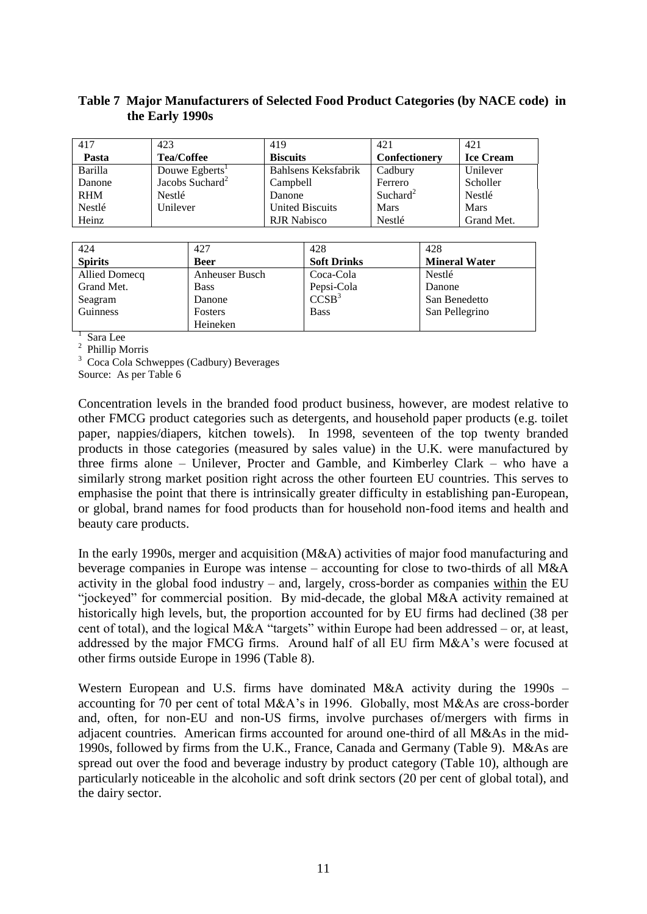| 417        | 423                         | 419                    | 421                  | 421              |
|------------|-----------------------------|------------------------|----------------------|------------------|
| Pasta      | Tea/Coffee                  | <b>Biscuits</b>        | Confectionery        | <b>Ice Cream</b> |
| Barilla    | Douwe Egberts <sup>1</sup>  | Bahlsens Keksfabrik    | Cadbury              | Unilever         |
| Danone     | Jacobs Suchard <sup>2</sup> | Campbell               | Ferrero              | Scholler         |
| <b>RHM</b> | Nestlé                      | Danone                 | Suchard <sup>2</sup> | Nestlé           |
| Nestlé     | Unilever                    | <b>United Biscuits</b> | <b>Mars</b>          | <b>Mars</b>      |
| Heinz      |                             | <b>RJR</b> Nabisco     | Nestlé               | Grand Met.       |

#### **Table 7 Major Manufacturers of Selected Food Product Categories (by NACE code) in the Early 1990s**

| 424            | 427            | 428                | 428                  |
|----------------|----------------|--------------------|----------------------|
| <b>Spirits</b> | <b>Beer</b>    | <b>Soft Drinks</b> | <b>Mineral Water</b> |
| Allied Domecq  | Anheuser Busch | Coca-Cola          | Nestlé               |
| Grand Met.     | <b>Bass</b>    | Pepsi-Cola         | Danone               |
| Seagram        | Danone         | CCSB <sup>3</sup>  | San Benedetto        |
| Guinness       | <b>Fosters</b> | <b>Bass</b>        | San Pellegrino       |
|                | Heineken       |                    |                      |

1 Sara Lee

2 Phillip Morris

3 Coca Cola Schweppes (Cadbury) Beverages

Source: As per Table 6

Concentration levels in the branded food product business, however, are modest relative to other FMCG product categories such as detergents, and household paper products (e.g. toilet paper, nappies/diapers, kitchen towels). In 1998, seventeen of the top twenty branded products in those categories (measured by sales value) in the U.K. were manufactured by three firms alone – Unilever, Procter and Gamble, and Kimberley Clark – who have a similarly strong market position right across the other fourteen EU countries. This serves to emphasise the point that there is intrinsically greater difficulty in establishing pan-European, or global, brand names for food products than for household non-food items and health and beauty care products.

In the early 1990s, merger and acquisition (M&A) activities of major food manufacturing and beverage companies in Europe was intense – accounting for close to two-thirds of all M&A activity in the global food industry – and, largely, cross-border as companies within the EU "jockeyed" for commercial position. By mid-decade, the global M&A activity remained at historically high levels, but, the proportion accounted for by EU firms had declined (38 per cent of total), and the logical M&A "targets" within Europe had been addressed – or, at least, addressed by the major FMCG firms. Around half of all EU firm M&A's were focused at other firms outside Europe in 1996 (Table 8).

Western European and U.S. firms have dominated M&A activity during the 1990s – accounting for 70 per cent of total M&A's in 1996. Globally, most M&As are cross-border and, often, for non-EU and non-US firms, involve purchases of/mergers with firms in adjacent countries. American firms accounted for around one-third of all M&As in the mid-1990s, followed by firms from the U.K., France, Canada and Germany (Table 9). M&As are spread out over the food and beverage industry by product category (Table 10), although are particularly noticeable in the alcoholic and soft drink sectors (20 per cent of global total), and the dairy sector.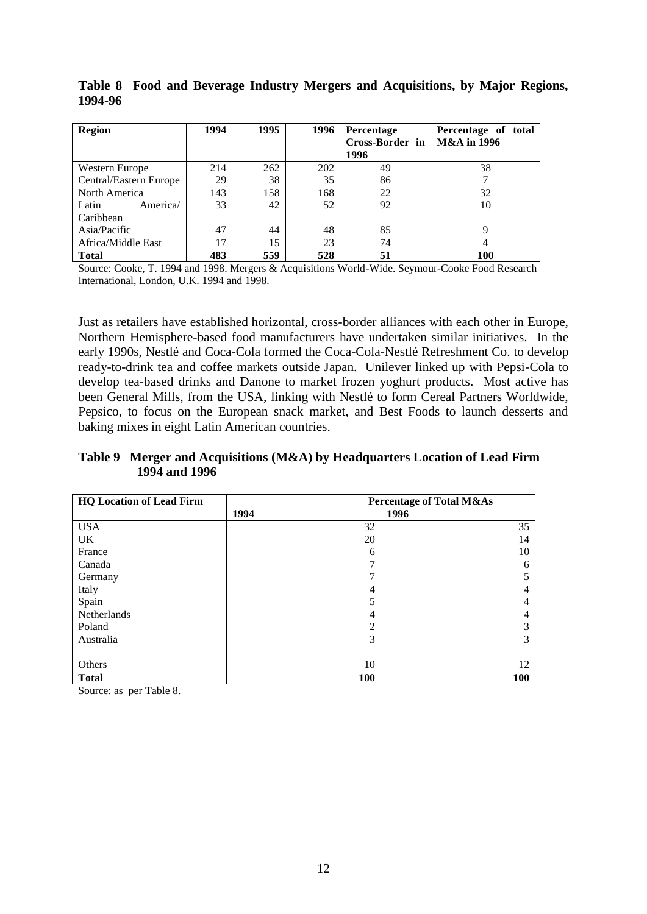| <b>Region</b>          | 1994 | 1995 | 1996 | <b>Percentage</b><br>Cross-Border in<br>1996 | Percentage of total<br><b>M&amp;A</b> in 1996 |
|------------------------|------|------|------|----------------------------------------------|-----------------------------------------------|
| Western Europe         | 214  | 262  | 202  | 49                                           | 38                                            |
| Central/Eastern Europe | 29   | 38   | 35   | 86                                           |                                               |
| North America          | 143  | 158  | 168  | 22                                           | 32                                            |
| America/<br>Latin      | 33   | 42   | 52   | 92                                           | 10                                            |
| Caribbean              |      |      |      |                                              |                                               |
| Asia/Pacific           | 47   | 44   | 48   | 85                                           | 9                                             |
| Africa/Middle East     | 17   | 15   | 23   | 74                                           | 4                                             |
| <b>Total</b>           | 483  | 559  | 528  | 51                                           | 100                                           |

**Table 8 Food and Beverage Industry Mergers and Acquisitions, by Major Regions, 1994-96**

Source: Cooke, T. 1994 and 1998. Mergers & Acquisitions World-Wide. Seymour-Cooke Food Research International, London, U.K. 1994 and 1998.

Just as retailers have established horizontal, cross-border alliances with each other in Europe, Northern Hemisphere-based food manufacturers have undertaken similar initiatives. In the early 1990s, Nestlé and Coca-Cola formed the Coca-Cola-Nestlé Refreshment Co. to develop ready-to-drink tea and coffee markets outside Japan. Unilever linked up with Pepsi-Cola to develop tea-based drinks and Danone to market frozen yoghurt products. Most active has been General Mills, from the USA, linking with Nestlé to form Cereal Partners Worldwide, Pepsico, to focus on the European snack market, and Best Foods to launch desserts and baking mixes in eight Latin American countries.

**Table 9 Merger and Acquisitions (M&A) by Headquarters Location of Lead Firm 1994 and 1996** 

| <b>HQ Location of Lead Firm</b> | <b>Percentage of Total M&amp;As</b> |            |  |
|---------------------------------|-------------------------------------|------------|--|
|                                 | 1994                                | 1996       |  |
| <b>USA</b>                      | 32                                  | 35         |  |
| <b>UK</b>                       | 20                                  | 14         |  |
| France                          | 6                                   | 10         |  |
| Canada                          | 7                                   | 6          |  |
| Germany                         | 7                                   |            |  |
| Italy                           | 4                                   | 4          |  |
| Spain                           | 5                                   | 4          |  |
| Netherlands                     | 4                                   |            |  |
| Poland                          | $\overline{2}$                      | 3          |  |
| Australia                       | 3                                   | 3          |  |
|                                 |                                     |            |  |
| Others                          | 10                                  | 12         |  |
| <b>Total</b>                    | 100                                 | <b>100</b> |  |

Source: as per Table 8.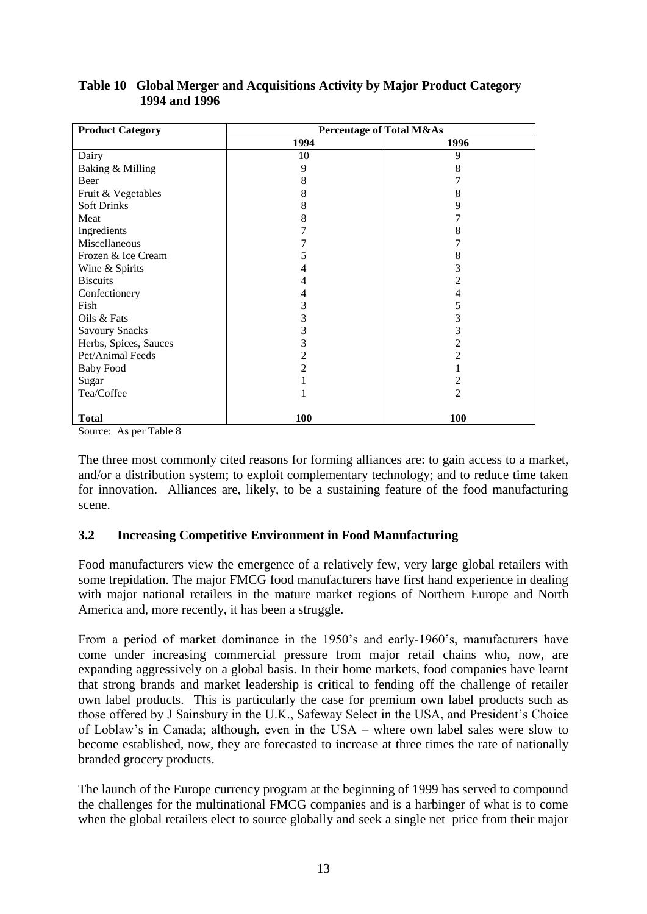| <b>Product Category</b> | <b>Percentage of Total M&amp;As</b> |                |  |  |  |
|-------------------------|-------------------------------------|----------------|--|--|--|
|                         | 1994                                | 1996           |  |  |  |
| Dairy                   | 10                                  | 9              |  |  |  |
| Baking & Milling        | 9                                   | 8              |  |  |  |
| Beer                    | 8                                   |                |  |  |  |
| Fruit & Vegetables      | 8                                   | 8              |  |  |  |
| <b>Soft Drinks</b>      | 8                                   | 9              |  |  |  |
| Meat                    | 8                                   |                |  |  |  |
| Ingredients             |                                     | 8              |  |  |  |
| Miscellaneous           |                                     |                |  |  |  |
| Frozen & Ice Cream      |                                     | 8              |  |  |  |
| Wine & Spirits          |                                     | 3              |  |  |  |
| <b>Biscuits</b>         |                                     | 2              |  |  |  |
| Confectionery           |                                     | 4              |  |  |  |
| Fish                    | 3                                   | 5              |  |  |  |
| Oils & Fats             | 3                                   | 3              |  |  |  |
| <b>Savoury Snacks</b>   | 3                                   | 3              |  |  |  |
| Herbs, Spices, Sauces   | 3                                   | 2              |  |  |  |
| Pet/Animal Feeds        | 2                                   | 2              |  |  |  |
| <b>Baby Food</b>        | $\overline{\mathcal{L}}$            |                |  |  |  |
| Sugar                   |                                     | 2              |  |  |  |
| Tea/Coffee              |                                     | $\overline{2}$ |  |  |  |
|                         |                                     |                |  |  |  |
| <b>Total</b>            | 100                                 | 100            |  |  |  |

#### **Table 10 Global Merger and Acquisitions Activity by Major Product Category 1994 and 1996**

Source: As per Table 8

The three most commonly cited reasons for forming alliances are: to gain access to a market, and/or a distribution system; to exploit complementary technology; and to reduce time taken for innovation. Alliances are, likely, to be a sustaining feature of the food manufacturing scene.

#### **3.2 Increasing Competitive Environment in Food Manufacturing**

Food manufacturers view the emergence of a relatively few, very large global retailers with some trepidation. The major FMCG food manufacturers have first hand experience in dealing with major national retailers in the mature market regions of Northern Europe and North America and, more recently, it has been a struggle.

From a period of market dominance in the 1950's and early-1960's, manufacturers have come under increasing commercial pressure from major retail chains who, now, are expanding aggressively on a global basis. In their home markets, food companies have learnt that strong brands and market leadership is critical to fending off the challenge of retailer own label products. This is particularly the case for premium own label products such as those offered by J Sainsbury in the U.K., Safeway Select in the USA, and President's Choice of Loblaw's in Canada; although, even in the USA – where own label sales were slow to become established, now, they are forecasted to increase at three times the rate of nationally branded grocery products.

The launch of the Europe currency program at the beginning of 1999 has served to compound the challenges for the multinational FMCG companies and is a harbinger of what is to come when the global retailers elect to source globally and seek a single net price from their major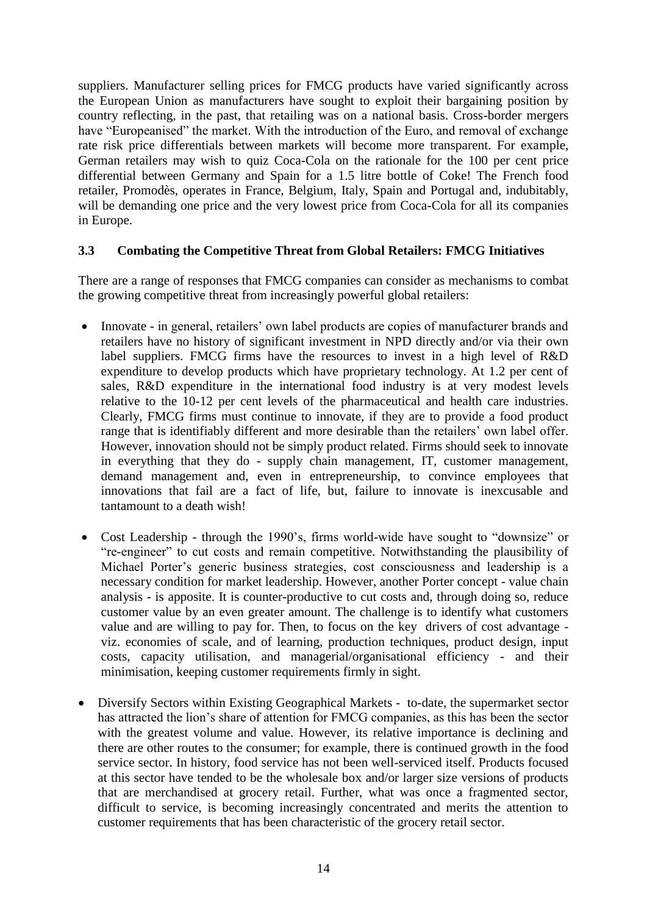suppliers. Manufacturer selling prices for FMCG products have varied significantly across the European Union as manufacturers have sought to exploit their bargaining position by country reflecting, in the past, that retailing was on a national basis. Cross-border mergers have "Europeanised" the market. With the introduction of the Euro, and removal of exchange rate risk price differentials between markets will become more transparent. For example, German retailers may wish to quiz Coca-Cola on the rationale for the 100 per cent price differential between Germany and Spain for a 1.5 litre bottle of Coke! The French food retailer, Promodès, operates in France, Belgium, Italy, Spain and Portugal and, indubitably, will be demanding one price and the very lowest price from Coca-Cola for all its companies in Europe.

#### **3.3 Combating the Competitive Threat from Global Retailers: FMCG Initiatives**

There are a range of responses that FMCG companies can consider as mechanisms to combat the growing competitive threat from increasingly powerful global retailers:

- Innovate in general, retailers' own label products are copies of manufacturer brands and retailers have no history of significant investment in NPD directly and/or via their own label suppliers. FMCG firms have the resources to invest in a high level of R&D expenditure to develop products which have proprietary technology. At 1.2 per cent of sales, R&D expenditure in the international food industry is at very modest levels relative to the 10-12 per cent levels of the pharmaceutical and health care industries. Clearly, FMCG firms must continue to innovate, if they are to provide a food product range that is identifiably different and more desirable than the retailers' own label offer. However, innovation should not be simply product related. Firms should seek to innovate in everything that they do - supply chain management, IT, customer management, demand management and, even in entrepreneurship, to convince employees that innovations that fail are a fact of life, but, failure to innovate is inexcusable and tantamount to a death wish!
- Cost Leadership through the 1990's, firms world-wide have sought to "downsize" or "re-engineer" to cut costs and remain competitive. Notwithstanding the plausibility of Michael Porter's generic business strategies, cost consciousness and leadership is a necessary condition for market leadership. However, another Porter concept - value chain analysis - is apposite. It is counter-productive to cut costs and, through doing so, reduce customer value by an even greater amount. The challenge is to identify what customers value and are willing to pay for. Then, to focus on the key drivers of cost advantage viz. economies of scale, and of learning, production techniques, product design, input costs, capacity utilisation, and managerial/organisational efficiency - and their minimisation, keeping customer requirements firmly in sight.
- Diversify Sectors within Existing Geographical Markets to-date, the supermarket sector has attracted the lion's share of attention for FMCG companies, as this has been the sector with the greatest volume and value. However, its relative importance is declining and there are other routes to the consumer; for example, there is continued growth in the food service sector. In history, food service has not been well-serviced itself. Products focused at this sector have tended to be the wholesale box and/or larger size versions of products that are merchandised at grocery retail. Further, what was once a fragmented sector, difficult to service, is becoming increasingly concentrated and merits the attention to customer requirements that has been characteristic of the grocery retail sector.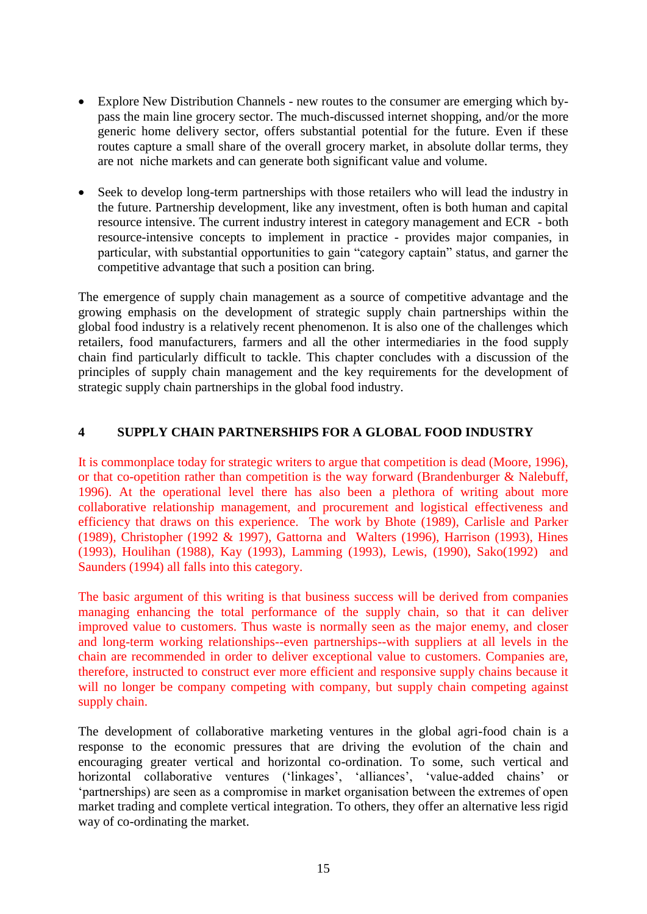- Explore New Distribution Channels new routes to the consumer are emerging which bypass the main line grocery sector. The much-discussed internet shopping, and/or the more generic home delivery sector, offers substantial potential for the future. Even if these routes capture a small share of the overall grocery market, in absolute dollar terms, they are not niche markets and can generate both significant value and volume.
- Seek to develop long-term partnerships with those retailers who will lead the industry in the future. Partnership development, like any investment, often is both human and capital resource intensive. The current industry interest in category management and ECR - both resource-intensive concepts to implement in practice - provides major companies, in particular, with substantial opportunities to gain "category captain" status, and garner the competitive advantage that such a position can bring.

The emergence of supply chain management as a source of competitive advantage and the growing emphasis on the development of strategic supply chain partnerships within the global food industry is a relatively recent phenomenon. It is also one of the challenges which retailers, food manufacturers, farmers and all the other intermediaries in the food supply chain find particularly difficult to tackle. This chapter concludes with a discussion of the principles of supply chain management and the key requirements for the development of strategic supply chain partnerships in the global food industry.

#### **4 SUPPLY CHAIN PARTNERSHIPS FOR A GLOBAL FOOD INDUSTRY**

It is commonplace today for strategic writers to argue that competition is dead (Moore, 1996), or that co-opetition rather than competition is the way forward (Brandenburger & Nalebuff, 1996). At the operational level there has also been a plethora of writing about more collaborative relationship management, and procurement and logistical effectiveness and efficiency that draws on this experience. The work by Bhote (1989), Carlisle and Parker (1989), Christopher (1992 & 1997), Gattorna and Walters (1996), Harrison (1993), Hines (1993), Houlihan (1988), Kay (1993), Lamming (1993), Lewis, (1990), Sako(1992) and Saunders (1994) all falls into this category.

The basic argument of this writing is that business success will be derived from companies managing enhancing the total performance of the supply chain, so that it can deliver improved value to customers. Thus waste is normally seen as the major enemy, and closer and long-term working relationships--even partnerships--with suppliers at all levels in the chain are recommended in order to deliver exceptional value to customers. Companies are, therefore, instructed to construct ever more efficient and responsive supply chains because it will no longer be company competing with company, but supply chain competing against supply chain.

The development of collaborative marketing ventures in the global agri-food chain is a response to the economic pressures that are driving the evolution of the chain and encouraging greater vertical and horizontal co-ordination. To some, such vertical and horizontal collaborative ventures ('linkages', 'alliances', 'value-added chains' or 'partnerships) are seen as a compromise in market organisation between the extremes of open market trading and complete vertical integration. To others, they offer an alternative less rigid way of co-ordinating the market.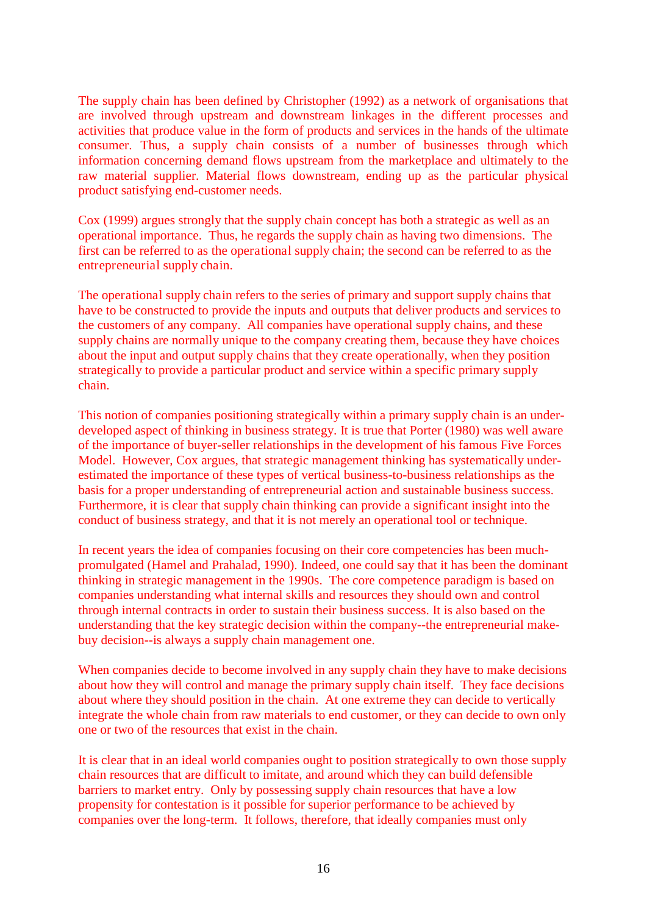The supply chain has been defined by Christopher (1992) as a network of organisations that are involved through upstream and downstream linkages in the different processes and activities that produce value in the form of products and services in the hands of the ultimate consumer. Thus, a supply chain consists of a number of businesses through which information concerning demand flows upstream from the marketplace and ultimately to the raw material supplier. Material flows downstream, ending up as the particular physical product satisfying end-customer needs.

Cox (1999) argues strongly that the supply chain concept has both a strategic as well as an operational importance. Thus, he regards the supply chain as having two dimensions. The first can be referred to as the operational supply chain; the second can be referred to as the entrepreneurial supply chain.

The operational supply chain refers to the series of primary and support supply chains that have to be constructed to provide the inputs and outputs that deliver products and services to the customers of any company. All companies have operational supply chains, and these supply chains are normally unique to the company creating them, because they have choices about the input and output supply chains that they create operationally, when they position strategically to provide a particular product and service within a specific primary supply chain.

This notion of companies positioning strategically within a primary supply chain is an underdeveloped aspect of thinking in business strategy. It is true that Porter (1980) was well aware of the importance of buyer-seller relationships in the development of his famous Five Forces Model. However, Cox argues, that strategic management thinking has systematically underestimated the importance of these types of vertical business-to-business relationships as the basis for a proper understanding of entrepreneurial action and sustainable business success. Furthermore, it is clear that supply chain thinking can provide a significant insight into the conduct of business strategy, and that it is not merely an operational tool or technique.

In recent years the idea of companies focusing on their core competencies has been muchpromulgated (Hamel and Prahalad, 1990). Indeed, one could say that it has been the dominant thinking in strategic management in the 1990s. The core competence paradigm is based on companies understanding what internal skills and resources they should own and control through internal contracts in order to sustain their business success. It is also based on the understanding that the key strategic decision within the company--the entrepreneurial makebuy decision--is always a supply chain management one.

When companies decide to become involved in any supply chain they have to make decisions about how they will control and manage the primary supply chain itself. They face decisions about where they should position in the chain. At one extreme they can decide to vertically integrate the whole chain from raw materials to end customer, or they can decide to own only one or two of the resources that exist in the chain.

It is clear that in an ideal world companies ought to position strategically to own those supply chain resources that are difficult to imitate, and around which they can build defensible barriers to market entry. Only by possessing supply chain resources that have a low propensity for contestation is it possible for superior performance to be achieved by companies over the long-term. It follows, therefore, that ideally companies must only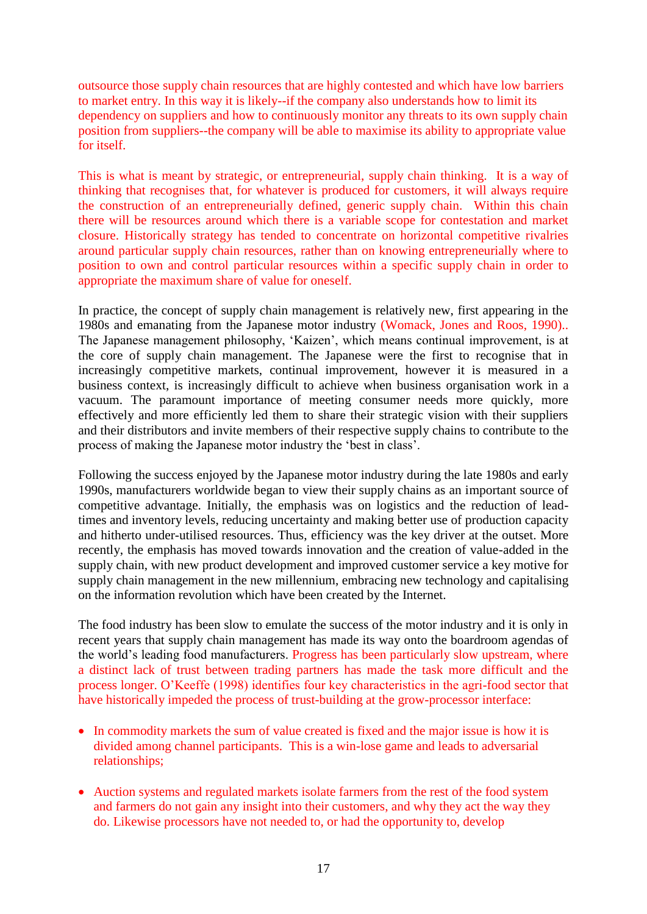outsource those supply chain resources that are highly contested and which have low barriers to market entry. In this way it is likely--if the company also understands how to limit its dependency on suppliers and how to continuously monitor any threats to its own supply chain position from suppliers--the company will be able to maximise its ability to appropriate value for itself.

This is what is meant by strategic, or entrepreneurial, supply chain thinking. It is a way of thinking that recognises that, for whatever is produced for customers, it will always require the construction of an entrepreneurially defined, generic supply chain. Within this chain there will be resources around which there is a variable scope for contestation and market closure. Historically strategy has tended to concentrate on horizontal competitive rivalries around particular supply chain resources, rather than on knowing entrepreneurially where to position to own and control particular resources within a specific supply chain in order to appropriate the maximum share of value for oneself.

In practice, the concept of supply chain management is relatively new, first appearing in the 1980s and emanating from the Japanese motor industry (Womack, Jones and Roos, 1990).. The Japanese management philosophy, 'Kaizen', which means continual improvement, is at the core of supply chain management. The Japanese were the first to recognise that in increasingly competitive markets, continual improvement, however it is measured in a business context, is increasingly difficult to achieve when business organisation work in a vacuum. The paramount importance of meeting consumer needs more quickly, more effectively and more efficiently led them to share their strategic vision with their suppliers and their distributors and invite members of their respective supply chains to contribute to the process of making the Japanese motor industry the 'best in class'.

Following the success enjoyed by the Japanese motor industry during the late 1980s and early 1990s, manufacturers worldwide began to view their supply chains as an important source of competitive advantage. Initially, the emphasis was on logistics and the reduction of leadtimes and inventory levels, reducing uncertainty and making better use of production capacity and hitherto under-utilised resources. Thus, efficiency was the key driver at the outset. More recently, the emphasis has moved towards innovation and the creation of value-added in the supply chain, with new product development and improved customer service a key motive for supply chain management in the new millennium, embracing new technology and capitalising on the information revolution which have been created by the Internet.

The food industry has been slow to emulate the success of the motor industry and it is only in recent years that supply chain management has made its way onto the boardroom agendas of the world's leading food manufacturers. Progress has been particularly slow upstream, where a distinct lack of trust between trading partners has made the task more difficult and the process longer. O'Keeffe (1998) identifies four key characteristics in the agri-food sector that have historically impeded the process of trust-building at the grow-processor interface:

- In commodity markets the sum of value created is fixed and the major issue is how it is divided among channel participants. This is a win-lose game and leads to adversarial relationships;
- Auction systems and regulated markets isolate farmers from the rest of the food system and farmers do not gain any insight into their customers, and why they act the way they do. Likewise processors have not needed to, or had the opportunity to, develop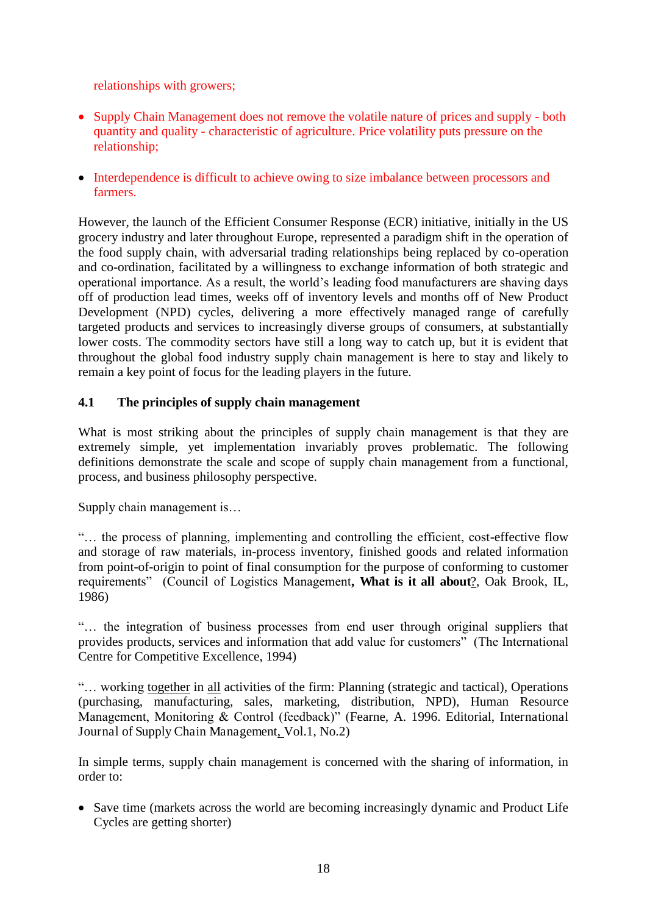relationships with growers;

- Supply Chain Management does not remove the volatile nature of prices and supply both quantity and quality - characteristic of agriculture. Price volatility puts pressure on the relationship;
- Interdependence is difficult to achieve owing to size imbalance between processors and farmers.

However, the launch of the Efficient Consumer Response (ECR) initiative, initially in the US grocery industry and later throughout Europe, represented a paradigm shift in the operation of the food supply chain, with adversarial trading relationships being replaced by co-operation and co-ordination, facilitated by a willingness to exchange information of both strategic and operational importance. As a result, the world's leading food manufacturers are shaving days off of production lead times, weeks off of inventory levels and months off of New Product Development (NPD) cycles, delivering a more effectively managed range of carefully targeted products and services to increasingly diverse groups of consumers, at substantially lower costs. The commodity sectors have still a long way to catch up, but it is evident that throughout the global food industry supply chain management is here to stay and likely to remain a key point of focus for the leading players in the future.

#### **4.1 The principles of supply chain management**

What is most striking about the principles of supply chain management is that they are extremely simple, yet implementation invariably proves problematic. The following definitions demonstrate the scale and scope of supply chain management from a functional, process, and business philosophy perspective.

Supply chain management is…

"… the process of planning, implementing and controlling the efficient, cost-effective flow and storage of raw materials, in-process inventory, finished goods and related information from point-of-origin to point of final consumption for the purpose of conforming to customer requirements" (Council of Logistics Management**, What is it all about**?, Oak Brook, IL, 1986)

"… the integration of business processes from end user through original suppliers that provides products, services and information that add value for customers" (The International Centre for Competitive Excellence, 1994)

"… working together in all activities of the firm: Planning (strategic and tactical), Operations (purchasing, manufacturing, sales, marketing, distribution, NPD), Human Resource Management, Monitoring & Control (feedback)" (Fearne, A. 1996. Editorial, International Journal of Supply Chain Management, Vol.1, No.2)

In simple terms, supply chain management is concerned with the sharing of information, in order to:

• Save time (markets across the world are becoming increasingly dynamic and Product Life Cycles are getting shorter)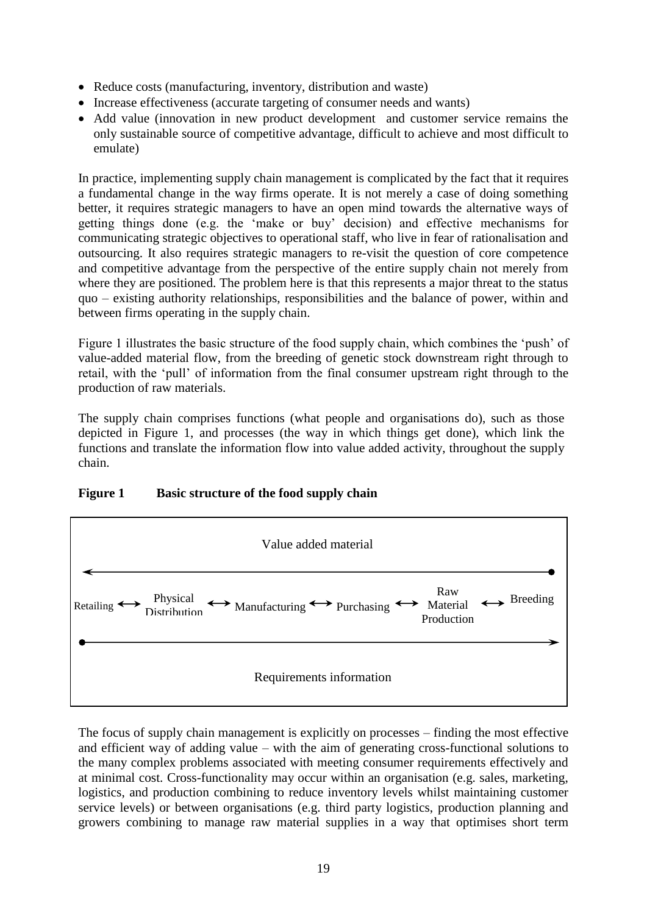- Reduce costs (manufacturing, inventory, distribution and waste)
- Increase effectiveness (accurate targeting of consumer needs and wants)
- Add value (innovation in new product development and customer service remains the only sustainable source of competitive advantage, difficult to achieve and most difficult to emulate)

In practice, implementing supply chain management is complicated by the fact that it requires a fundamental change in the way firms operate. It is not merely a case of doing something better, it requires strategic managers to have an open mind towards the alternative ways of getting things done (e.g. the 'make or buy' decision) and effective mechanisms for communicating strategic objectives to operational staff, who live in fear of rationalisation and outsourcing. It also requires strategic managers to re-visit the question of core competence and competitive advantage from the perspective of the entire supply chain not merely from where they are positioned. The problem here is that this represents a major threat to the status quo – existing authority relationships, responsibilities and the balance of power, within and between firms operating in the supply chain.

Figure 1 illustrates the basic structure of the food supply chain, which combines the 'push' of value-added material flow, from the breeding of genetic stock downstream right through to retail, with the 'pull' of information from the final consumer upstream right through to the production of raw materials.

The supply chain comprises functions (what people and organisations do), such as those depicted in Figure 1, and processes (the way in which things get done), which link the functions and translate the information flow into value added activity, throughout the supply chain.



#### **Figure 1 Basic structure of the food supply chain**

The focus of supply chain management is explicitly on processes – finding the most effective and efficient way of adding value – with the aim of generating cross-functional solutions to the many complex problems associated with meeting consumer requirements effectively and at minimal cost. Cross-functionality may occur within an organisation (e.g. sales, marketing, logistics, and production combining to reduce inventory levels whilst maintaining customer service levels) or between organisations (e.g. third party logistics, production planning and growers combining to manage raw material supplies in a way that optimises short term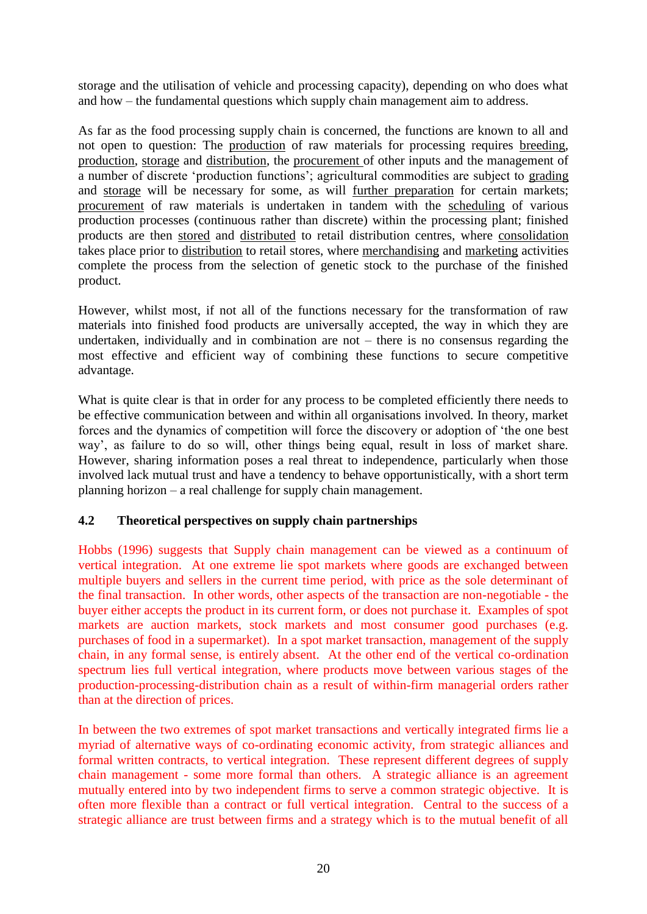storage and the utilisation of vehicle and processing capacity), depending on who does what and how – the fundamental questions which supply chain management aim to address.

As far as the food processing supply chain is concerned, the functions are known to all and not open to question: The production of raw materials for processing requires breeding, production, storage and distribution, the procurement of other inputs and the management of a number of discrete 'production functions'; agricultural commodities are subject to grading and storage will be necessary for some, as will further preparation for certain markets; procurement of raw materials is undertaken in tandem with the scheduling of various production processes (continuous rather than discrete) within the processing plant; finished products are then stored and distributed to retail distribution centres, where consolidation takes place prior to distribution to retail stores, where merchandising and marketing activities complete the process from the selection of genetic stock to the purchase of the finished product.

However, whilst most, if not all of the functions necessary for the transformation of raw materials into finished food products are universally accepted, the way in which they are undertaken, individually and in combination are not – there is no consensus regarding the most effective and efficient way of combining these functions to secure competitive advantage.

What is quite clear is that in order for any process to be completed efficiently there needs to be effective communication between and within all organisations involved. In theory, market forces and the dynamics of competition will force the discovery or adoption of 'the one best way', as failure to do so will, other things being equal, result in loss of market share. However, sharing information poses a real threat to independence, particularly when those involved lack mutual trust and have a tendency to behave opportunistically, with a short term planning horizon – a real challenge for supply chain management.

#### **4.2 Theoretical perspectives on supply chain partnerships**

Hobbs (1996) suggests that Supply chain management can be viewed as a continuum of vertical integration. At one extreme lie spot markets where goods are exchanged between multiple buyers and sellers in the current time period, with price as the sole determinant of the final transaction. In other words, other aspects of the transaction are non-negotiable - the buyer either accepts the product in its current form, or does not purchase it. Examples of spot markets are auction markets, stock markets and most consumer good purchases (e.g. purchases of food in a supermarket). In a spot market transaction, management of the supply chain, in any formal sense, is entirely absent. At the other end of the vertical co-ordination spectrum lies full vertical integration, where products move between various stages of the production-processing-distribution chain as a result of within-firm managerial orders rather than at the direction of prices.

In between the two extremes of spot market transactions and vertically integrated firms lie a myriad of alternative ways of co-ordinating economic activity, from strategic alliances and formal written contracts, to vertical integration. These represent different degrees of supply chain management - some more formal than others. A strategic alliance is an agreement mutually entered into by two independent firms to serve a common strategic objective. It is often more flexible than a contract or full vertical integration. Central to the success of a strategic alliance are trust between firms and a strategy which is to the mutual benefit of all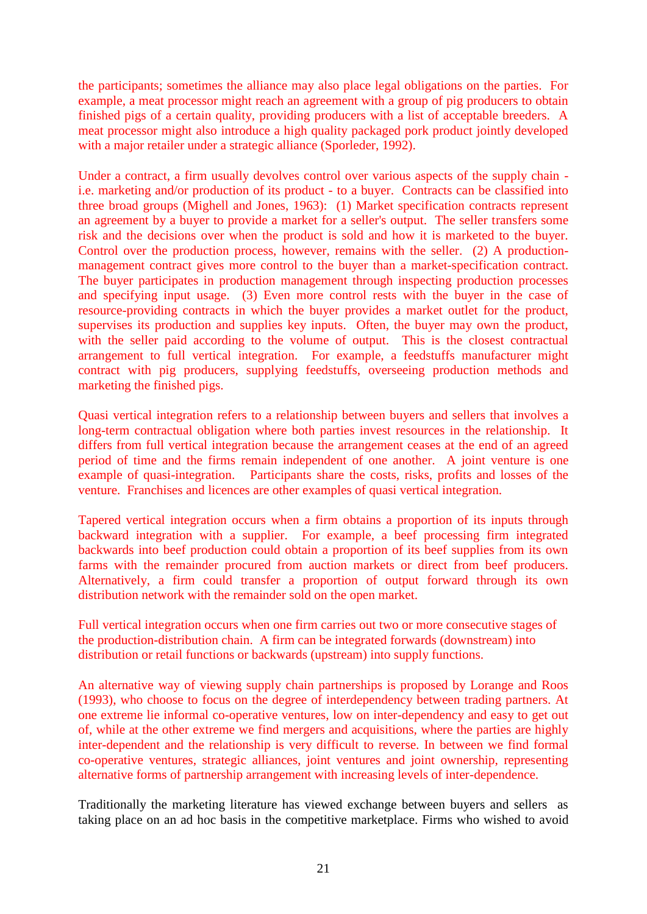the participants; sometimes the alliance may also place legal obligations on the parties. For example, a meat processor might reach an agreement with a group of pig producers to obtain finished pigs of a certain quality, providing producers with a list of acceptable breeders. A meat processor might also introduce a high quality packaged pork product jointly developed with a major retailer under a strategic alliance (Sporleder, 1992).

Under a contract, a firm usually devolves control over various aspects of the supply chain i.e. marketing and/or production of its product - to a buyer. Contracts can be classified into three broad groups (Mighell and Jones, 1963): (1) Market specification contracts represent an agreement by a buyer to provide a market for a seller's output. The seller transfers some risk and the decisions over when the product is sold and how it is marketed to the buyer. Control over the production process, however, remains with the seller. (2) A productionmanagement contract gives more control to the buyer than a market-specification contract. The buyer participates in production management through inspecting production processes and specifying input usage. (3) Even more control rests with the buyer in the case of resource-providing contracts in which the buyer provides a market outlet for the product, supervises its production and supplies key inputs. Often, the buyer may own the product, with the seller paid according to the volume of output. This is the closest contractual arrangement to full vertical integration. For example, a feedstuffs manufacturer might contract with pig producers, supplying feedstuffs, overseeing production methods and marketing the finished pigs.

Quasi vertical integration refers to a relationship between buyers and sellers that involves a long-term contractual obligation where both parties invest resources in the relationship. It differs from full vertical integration because the arrangement ceases at the end of an agreed period of time and the firms remain independent of one another. A joint venture is one example of quasi-integration. Participants share the costs, risks, profits and losses of the venture. Franchises and licences are other examples of quasi vertical integration.

Tapered vertical integration occurs when a firm obtains a proportion of its inputs through backward integration with a supplier. For example, a beef processing firm integrated backwards into beef production could obtain a proportion of its beef supplies from its own farms with the remainder procured from auction markets or direct from beef producers. Alternatively, a firm could transfer a proportion of output forward through its own distribution network with the remainder sold on the open market.

Full vertical integration occurs when one firm carries out two or more consecutive stages of the production-distribution chain. A firm can be integrated forwards (downstream) into distribution or retail functions or backwards (upstream) into supply functions.

An alternative way of viewing supply chain partnerships is proposed by Lorange and Roos (1993), who choose to focus on the degree of interdependency between trading partners. At one extreme lie informal co-operative ventures, low on inter-dependency and easy to get out of, while at the other extreme we find mergers and acquisitions, where the parties are highly inter-dependent and the relationship is very difficult to reverse. In between we find formal co-operative ventures, strategic alliances, joint ventures and joint ownership, representing alternative forms of partnership arrangement with increasing levels of inter-dependence.

Traditionally the marketing literature has viewed exchange between buyers and sellers as taking place on an ad hoc basis in the competitive marketplace. Firms who wished to avoid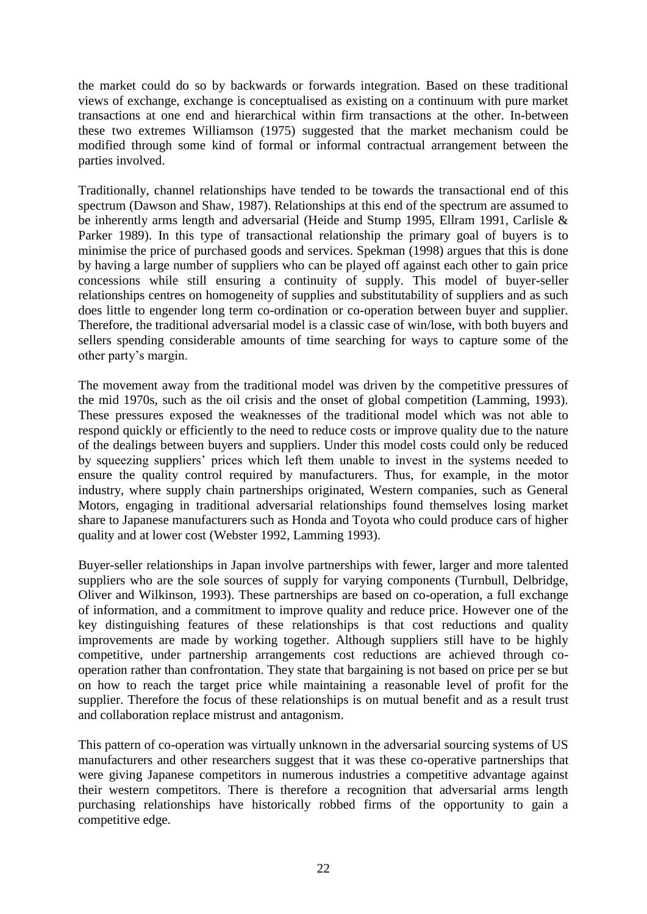the market could do so by backwards or forwards integration. Based on these traditional views of exchange, exchange is conceptualised as existing on a continuum with pure market transactions at one end and hierarchical within firm transactions at the other. In-between these two extremes Williamson (1975) suggested that the market mechanism could be modified through some kind of formal or informal contractual arrangement between the parties involved.

Traditionally, channel relationships have tended to be towards the transactional end of this spectrum (Dawson and Shaw, 1987). Relationships at this end of the spectrum are assumed to be inherently arms length and adversarial (Heide and Stump 1995, Ellram 1991, Carlisle & Parker 1989). In this type of transactional relationship the primary goal of buyers is to minimise the price of purchased goods and services. Spekman (1998) argues that this is done by having a large number of suppliers who can be played off against each other to gain price concessions while still ensuring a continuity of supply. This model of buyer-seller relationships centres on homogeneity of supplies and substitutability of suppliers and as such does little to engender long term co-ordination or co-operation between buyer and supplier. Therefore, the traditional adversarial model is a classic case of win/lose, with both buyers and sellers spending considerable amounts of time searching for ways to capture some of the other party's margin.

The movement away from the traditional model was driven by the competitive pressures of the mid 1970s, such as the oil crisis and the onset of global competition (Lamming, 1993). These pressures exposed the weaknesses of the traditional model which was not able to respond quickly or efficiently to the need to reduce costs or improve quality due to the nature of the dealings between buyers and suppliers. Under this model costs could only be reduced by squeezing suppliers' prices which left them unable to invest in the systems needed to ensure the quality control required by manufacturers. Thus, for example, in the motor industry, where supply chain partnerships originated, Western companies, such as General Motors, engaging in traditional adversarial relationships found themselves losing market share to Japanese manufacturers such as Honda and Toyota who could produce cars of higher quality and at lower cost (Webster 1992, Lamming 1993).

Buyer-seller relationships in Japan involve partnerships with fewer, larger and more talented suppliers who are the sole sources of supply for varying components (Turnbull, Delbridge, Oliver and Wilkinson, 1993). These partnerships are based on co-operation, a full exchange of information, and a commitment to improve quality and reduce price. However one of the key distinguishing features of these relationships is that cost reductions and quality improvements are made by working together. Although suppliers still have to be highly competitive, under partnership arrangements cost reductions are achieved through cooperation rather than confrontation. They state that bargaining is not based on price per se but on how to reach the target price while maintaining a reasonable level of profit for the supplier. Therefore the focus of these relationships is on mutual benefit and as a result trust and collaboration replace mistrust and antagonism.

This pattern of co-operation was virtually unknown in the adversarial sourcing systems of US manufacturers and other researchers suggest that it was these co-operative partnerships that were giving Japanese competitors in numerous industries a competitive advantage against their western competitors. There is therefore a recognition that adversarial arms length purchasing relationships have historically robbed firms of the opportunity to gain a competitive edge.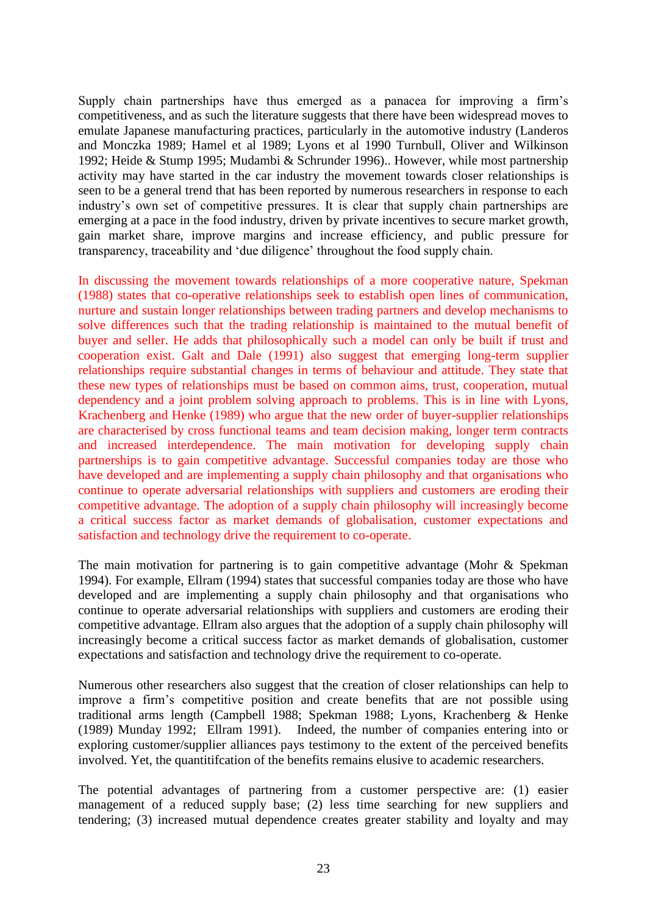Supply chain partnerships have thus emerged as a panacea for improving a firm's competitiveness, and as such the literature suggests that there have been widespread moves to emulate Japanese manufacturing practices, particularly in the automotive industry (Landeros and Monczka 1989; Hamel et al 1989; Lyons et al 1990 Turnbull, Oliver and Wilkinson 1992; Heide & Stump 1995; Mudambi & Schrunder 1996).. However, while most partnership activity may have started in the car industry the movement towards closer relationships is seen to be a general trend that has been reported by numerous researchers in response to each industry's own set of competitive pressures. It is clear that supply chain partnerships are emerging at a pace in the food industry, driven by private incentives to secure market growth, gain market share, improve margins and increase efficiency, and public pressure for transparency, traceability and 'due diligence' throughout the food supply chain.

In discussing the movement towards relationships of a more cooperative nature, Spekman (1988) states that co-operative relationships seek to establish open lines of communication, nurture and sustain longer relationships between trading partners and develop mechanisms to solve differences such that the trading relationship is maintained to the mutual benefit of buyer and seller. He adds that philosophically such a model can only be built if trust and cooperation exist. Galt and Dale (1991) also suggest that emerging long-term supplier relationships require substantial changes in terms of behaviour and attitude. They state that these new types of relationships must be based on common aims, trust, cooperation, mutual dependency and a joint problem solving approach to problems. This is in line with Lyons, Krachenberg and Henke (1989) who argue that the new order of buyer-supplier relationships are characterised by cross functional teams and team decision making, longer term contracts and increased interdependence. The main motivation for developing supply chain partnerships is to gain competitive advantage. Successful companies today are those who have developed and are implementing a supply chain philosophy and that organisations who continue to operate adversarial relationships with suppliers and customers are eroding their competitive advantage. The adoption of a supply chain philosophy will increasingly become a critical success factor as market demands of globalisation, customer expectations and satisfaction and technology drive the requirement to co-operate.

The main motivation for partnering is to gain competitive advantage (Mohr & Spekman 1994). For example, Ellram (1994) states that successful companies today are those who have developed and are implementing a supply chain philosophy and that organisations who continue to operate adversarial relationships with suppliers and customers are eroding their competitive advantage. Ellram also argues that the adoption of a supply chain philosophy will increasingly become a critical success factor as market demands of globalisation, customer expectations and satisfaction and technology drive the requirement to co-operate.

Numerous other researchers also suggest that the creation of closer relationships can help to improve a firm's competitive position and create benefits that are not possible using traditional arms length (Campbell 1988; Spekman 1988; Lyons, Krachenberg & Henke (1989) Munday 1992; Ellram 1991). Indeed, the number of companies entering into or exploring customer/supplier alliances pays testimony to the extent of the perceived benefits involved. Yet, the quantitifcation of the benefits remains elusive to academic researchers.

The potential advantages of partnering from a customer perspective are: (1) easier management of a reduced supply base; (2) less time searching for new suppliers and tendering; (3) increased mutual dependence creates greater stability and loyalty and may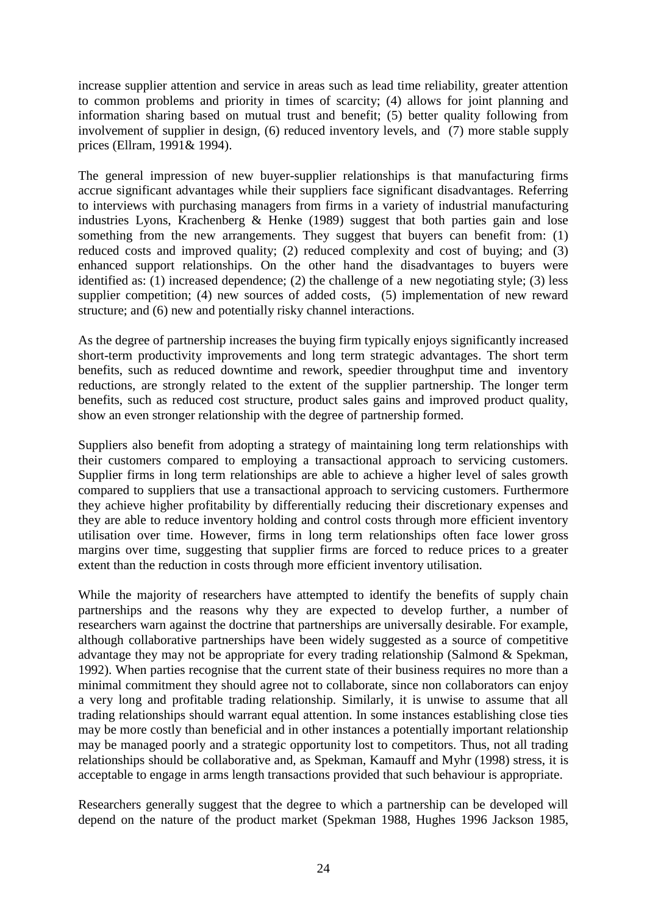increase supplier attention and service in areas such as lead time reliability, greater attention to common problems and priority in times of scarcity; (4) allows for joint planning and information sharing based on mutual trust and benefit; (5) better quality following from involvement of supplier in design, (6) reduced inventory levels, and (7) more stable supply prices (Ellram, 1991& 1994).

The general impression of new buyer-supplier relationships is that manufacturing firms accrue significant advantages while their suppliers face significant disadvantages. Referring to interviews with purchasing managers from firms in a variety of industrial manufacturing industries Lyons, Krachenberg & Henke (1989) suggest that both parties gain and lose something from the new arrangements. They suggest that buyers can benefit from: (1) reduced costs and improved quality; (2) reduced complexity and cost of buying; and (3) enhanced support relationships. On the other hand the disadvantages to buyers were identified as: (1) increased dependence; (2) the challenge of a new negotiating style; (3) less supplier competition; (4) new sources of added costs, (5) implementation of new reward structure; and (6) new and potentially risky channel interactions.

As the degree of partnership increases the buying firm typically enjoys significantly increased short-term productivity improvements and long term strategic advantages. The short term benefits, such as reduced downtime and rework, speedier throughput time and inventory reductions, are strongly related to the extent of the supplier partnership. The longer term benefits, such as reduced cost structure, product sales gains and improved product quality, show an even stronger relationship with the degree of partnership formed.

Suppliers also benefit from adopting a strategy of maintaining long term relationships with their customers compared to employing a transactional approach to servicing customers. Supplier firms in long term relationships are able to achieve a higher level of sales growth compared to suppliers that use a transactional approach to servicing customers. Furthermore they achieve higher profitability by differentially reducing their discretionary expenses and they are able to reduce inventory holding and control costs through more efficient inventory utilisation over time. However, firms in long term relationships often face lower gross margins over time, suggesting that supplier firms are forced to reduce prices to a greater extent than the reduction in costs through more efficient inventory utilisation.

While the majority of researchers have attempted to identify the benefits of supply chain partnerships and the reasons why they are expected to develop further, a number of researchers warn against the doctrine that partnerships are universally desirable. For example, although collaborative partnerships have been widely suggested as a source of competitive advantage they may not be appropriate for every trading relationship (Salmond & Spekman, 1992). When parties recognise that the current state of their business requires no more than a minimal commitment they should agree not to collaborate, since non collaborators can enjoy a very long and profitable trading relationship. Similarly, it is unwise to assume that all trading relationships should warrant equal attention. In some instances establishing close ties may be more costly than beneficial and in other instances a potentially important relationship may be managed poorly and a strategic opportunity lost to competitors. Thus, not all trading relationships should be collaborative and, as Spekman, Kamauff and Myhr (1998) stress, it is acceptable to engage in arms length transactions provided that such behaviour is appropriate.

Researchers generally suggest that the degree to which a partnership can be developed will depend on the nature of the product market (Spekman 1988, Hughes 1996 Jackson 1985,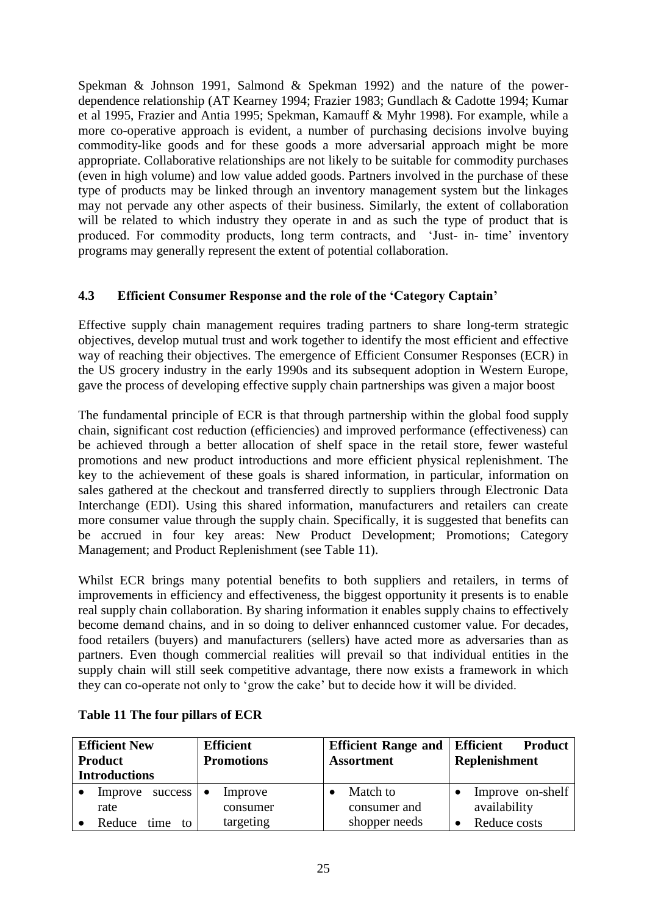Spekman & Johnson 1991, Salmond & Spekman 1992) and the nature of the powerdependence relationship (AT Kearney 1994; Frazier 1983; Gundlach & Cadotte 1994; Kumar et al 1995, Frazier and Antia 1995; Spekman, Kamauff & Myhr 1998). For example, while a more co-operative approach is evident, a number of purchasing decisions involve buying commodity-like goods and for these goods a more adversarial approach might be more appropriate. Collaborative relationships are not likely to be suitable for commodity purchases (even in high volume) and low value added goods. Partners involved in the purchase of these type of products may be linked through an inventory management system but the linkages may not pervade any other aspects of their business. Similarly, the extent of collaboration will be related to which industry they operate in and as such the type of product that is produced. For commodity products, long term contracts, and 'Just- in- time' inventory programs may generally represent the extent of potential collaboration.

#### **4.3 Efficient Consumer Response and the role of the 'Category Captain'**

Effective supply chain management requires trading partners to share long-term strategic objectives, develop mutual trust and work together to identify the most efficient and effective way of reaching their objectives. The emergence of Efficient Consumer Responses (ECR) in the US grocery industry in the early 1990s and its subsequent adoption in Western Europe, gave the process of developing effective supply chain partnerships was given a major boost

The fundamental principle of ECR is that through partnership within the global food supply chain, significant cost reduction (efficiencies) and improved performance (effectiveness) can be achieved through a better allocation of shelf space in the retail store, fewer wasteful promotions and new product introductions and more efficient physical replenishment. The key to the achievement of these goals is shared information, in particular, information on sales gathered at the checkout and transferred directly to suppliers through Electronic Data Interchange (EDI). Using this shared information, manufacturers and retailers can create more consumer value through the supply chain. Specifically, it is suggested that benefits can be accrued in four key areas: New Product Development; Promotions; Category Management; and Product Replenishment (see Table 11).

Whilst ECR brings many potential benefits to both suppliers and retailers, in terms of improvements in efficiency and effectiveness, the biggest opportunity it presents is to enable real supply chain collaboration. By sharing information it enables supply chains to effectively become demand chains, and in so doing to deliver enhannced customer value. For decades, food retailers (buyers) and manufacturers (sellers) have acted more as adversaries than as partners. Even though commercial realities will prevail so that individual entities in the supply chain will still seek competitive advantage, there now exists a framework in which they can co-operate not only to 'grow the cake' but to decide how it will be divided.

| <b>Efficient New</b><br><b>Product</b><br><b>Introductions</b> | <b>Efficient</b><br><b>Promotions</b> | <b>Efficient Range and</b><br><b>Assortment</b> | Efficient<br><b>Product</b><br><b>Replenishment</b> |  |
|----------------------------------------------------------------|---------------------------------------|-------------------------------------------------|-----------------------------------------------------|--|
| Improve success •<br>rate                                      | Improve<br>consumer                   | Match to<br>consumer and                        | Improve on-shelf<br>availability                    |  |
| Reduce time<br>to                                              | targeting                             | shopper needs                                   | Reduce costs                                        |  |

#### **Table 11 The four pillars of ECR**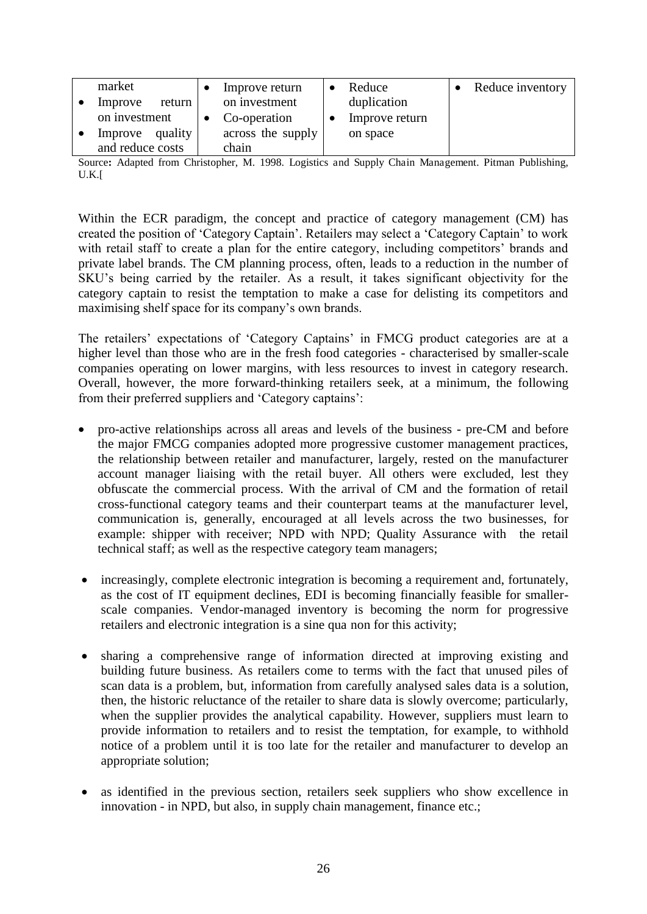| market            | Improve return    | Reduce         | Reduce inventory |
|-------------------|-------------------|----------------|------------------|
| Improve<br>return | on investment     | duplication    |                  |
| on investment     | Co-operation      | Improve return |                  |
| Improve quality   | across the supply | on space       |                  |
| and reduce costs  | chain             |                |                  |

Source**:** Adapted from Christopher, M. 1998. Logistics and Supply Chain Management. Pitman Publishing, U.K.[

Within the ECR paradigm, the concept and practice of category management (CM) has created the position of 'Category Captain'. Retailers may select a 'Category Captain' to work with retail staff to create a plan for the entire category, including competitors' brands and private label brands. The CM planning process, often, leads to a reduction in the number of SKU's being carried by the retailer. As a result, it takes significant objectivity for the category captain to resist the temptation to make a case for delisting its competitors and maximising shelf space for its company's own brands.

The retailers' expectations of 'Category Captains' in FMCG product categories are at a higher level than those who are in the fresh food categories - characterised by smaller-scale companies operating on lower margins, with less resources to invest in category research. Overall, however, the more forward-thinking retailers seek, at a minimum, the following from their preferred suppliers and 'Category captains':

- pro-active relationships across all areas and levels of the business pre-CM and before the major FMCG companies adopted more progressive customer management practices, the relationship between retailer and manufacturer, largely, rested on the manufacturer account manager liaising with the retail buyer. All others were excluded, lest they obfuscate the commercial process. With the arrival of CM and the formation of retail cross-functional category teams and their counterpart teams at the manufacturer level, communication is, generally, encouraged at all levels across the two businesses, for example: shipper with receiver; NPD with NPD; Quality Assurance with the retail technical staff; as well as the respective category team managers;
- increasingly, complete electronic integration is becoming a requirement and, fortunately, as the cost of IT equipment declines, EDI is becoming financially feasible for smallerscale companies. Vendor-managed inventory is becoming the norm for progressive retailers and electronic integration is a sine qua non for this activity;
- sharing a comprehensive range of information directed at improving existing and building future business. As retailers come to terms with the fact that unused piles of scan data is a problem, but, information from carefully analysed sales data is a solution, then, the historic reluctance of the retailer to share data is slowly overcome; particularly, when the supplier provides the analytical capability. However, suppliers must learn to provide information to retailers and to resist the temptation, for example, to withhold notice of a problem until it is too late for the retailer and manufacturer to develop an appropriate solution;
- as identified in the previous section, retailers seek suppliers who show excellence in innovation - in NPD, but also, in supply chain management, finance etc.;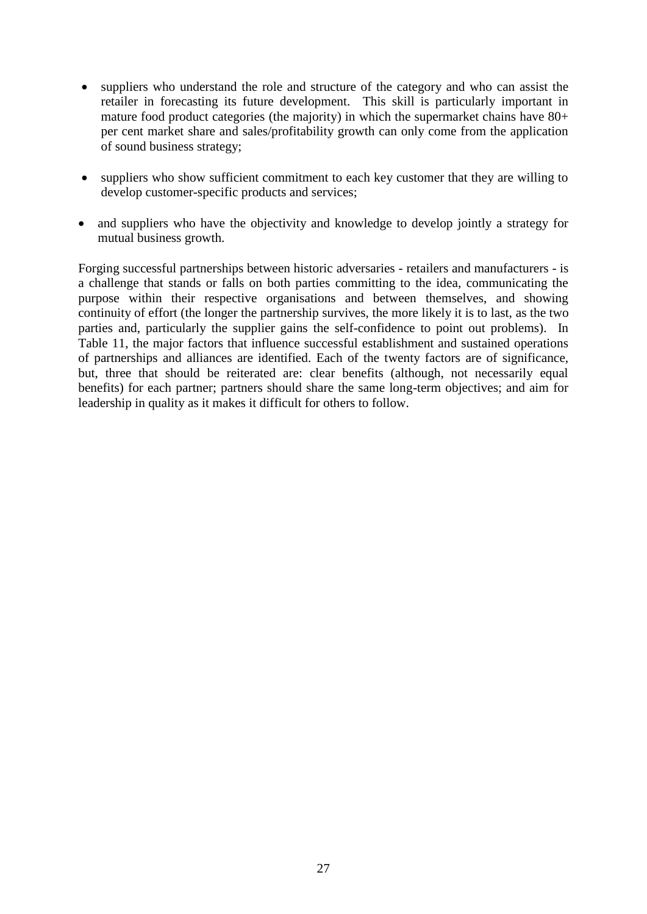- suppliers who understand the role and structure of the category and who can assist the retailer in forecasting its future development. This skill is particularly important in mature food product categories (the majority) in which the supermarket chains have 80+ per cent market share and sales/profitability growth can only come from the application of sound business strategy;
- suppliers who show sufficient commitment to each key customer that they are willing to develop customer-specific products and services;
- and suppliers who have the objectivity and knowledge to develop jointly a strategy for mutual business growth.

Forging successful partnerships between historic adversaries - retailers and manufacturers - is a challenge that stands or falls on both parties committing to the idea, communicating the purpose within their respective organisations and between themselves, and showing continuity of effort (the longer the partnership survives, the more likely it is to last, as the two parties and, particularly the supplier gains the self-confidence to point out problems). In Table 11, the major factors that influence successful establishment and sustained operations of partnerships and alliances are identified. Each of the twenty factors are of significance, but, three that should be reiterated are: clear benefits (although, not necessarily equal benefits) for each partner; partners should share the same long-term objectives; and aim for leadership in quality as it makes it difficult for others to follow.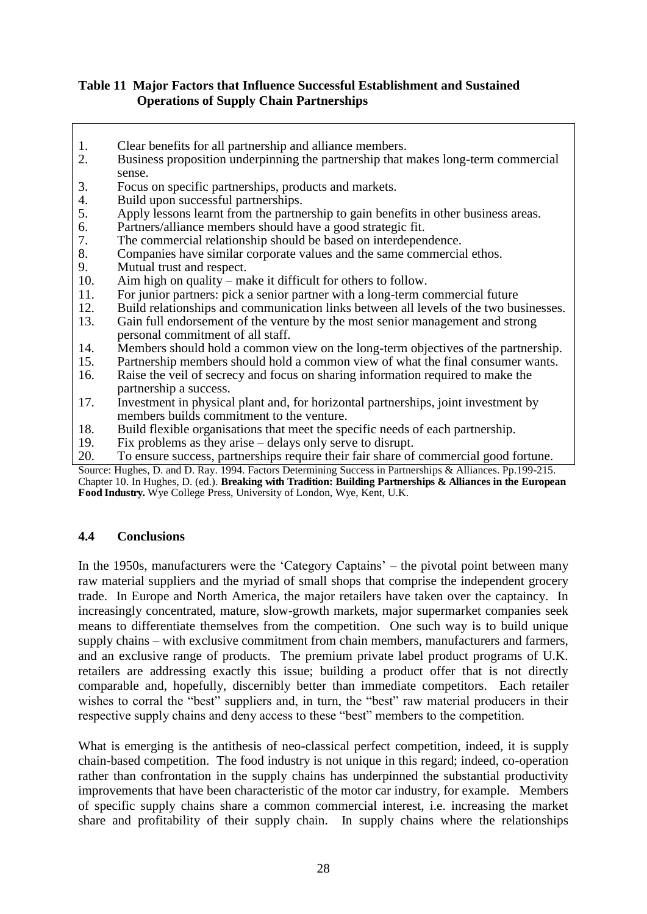#### **Table 11 Major Factors that Influence Successful Establishment and Sustained Operations of Supply Chain Partnerships**

- 1. Clear benefits for all partnership and alliance members.<br>2. Business proposition underpinning the partnership that is
- 2. Business proposition underpinning the partnership that makes long-term commercial sense.
- 3. Focus on specific partnerships, products and markets.
- 4. Build upon successful partnerships.<br>5. Apply lessons learnt from the partnerships.
- 5. Apply lessons learnt from the partnership to gain benefits in other business areas.<br>6. Partners/alliance members should have a good strategic fit.
- Partners/alliance members should have a good strategic fit.
- 7. The commercial relationship should be based on interdependence.<br>8. Companies have similar corporate values and the same commercial
- 8. Companies have similar corporate values and the same commercial ethos.<br>9. Mutual trust and respect.
- 9. Mutual trust and respect.<br>10. Aim high on quality ma
- 10. Aim high on quality make it difficult for others to follow.<br>11. For junior partners: pick a senior partner with a long-term contains
- 11. For junior partners: pick a senior partner with a long-term commercial future<br>12. Build relationships and communication links between all levels of the two bu
- 12. Build relationships and communication links between all levels of the two businesses.<br>13. Gain full endorsement of the venture by the most senior management and strong
- Gain full endorsement of the venture by the most senior management and strong personal commitment of all staff.
- 14. Members should hold a common view on the long-term objectives of the partnership.<br>15. Partnership members should hold a common view of what the final consumer wants.
- 15. Partnership members should hold a common view of what the final consumer wants.<br>16. Raise the veil of secrecy and focus on sharing information required to make the
- Raise the veil of secrecy and focus on sharing information required to make the partnership a success.
- 17. Investment in physical plant and, for horizontal partnerships, joint investment by members builds commitment to the venture.
- 18. Build flexible organisations that meet the specific needs of each partnership.<br>19. Fix problems as they arise delays only serve to disrupt.
- Fix problems as they arise delays only serve to disrupt.
- 20. To ensure success, partnerships require their fair share of commercial good fortune.

Source: Hughes, D. and D. Ray. 1994. Factors Determining Success in Partnerships & Alliances. Pp.199-215. Chapter 10. In Hughes, D. (ed.). **Breaking with Tradition: Building Partnerships & Alliances in the European Food Industry.** Wye College Press, University of London, Wye, Kent, U.K.

#### **4.4 Conclusions**

In the 1950s, manufacturers were the 'Category Captains' – the pivotal point between many raw material suppliers and the myriad of small shops that comprise the independent grocery trade. In Europe and North America, the major retailers have taken over the captaincy. In increasingly concentrated, mature, slow-growth markets, major supermarket companies seek means to differentiate themselves from the competition. One such way is to build unique supply chains – with exclusive commitment from chain members, manufacturers and farmers, and an exclusive range of products. The premium private label product programs of U.K. retailers are addressing exactly this issue; building a product offer that is not directly comparable and, hopefully, discernibly better than immediate competitors. Each retailer wishes to corral the "best" suppliers and, in turn, the "best" raw material producers in their respective supply chains and deny access to these "best" members to the competition.

What is emerging is the antithesis of neo-classical perfect competition, indeed, it is supply chain-based competition. The food industry is not unique in this regard; indeed, co-operation rather than confrontation in the supply chains has underpinned the substantial productivity improvements that have been characteristic of the motor car industry, for example. Members of specific supply chains share a common commercial interest, i.e. increasing the market share and profitability of their supply chain. In supply chains where the relationships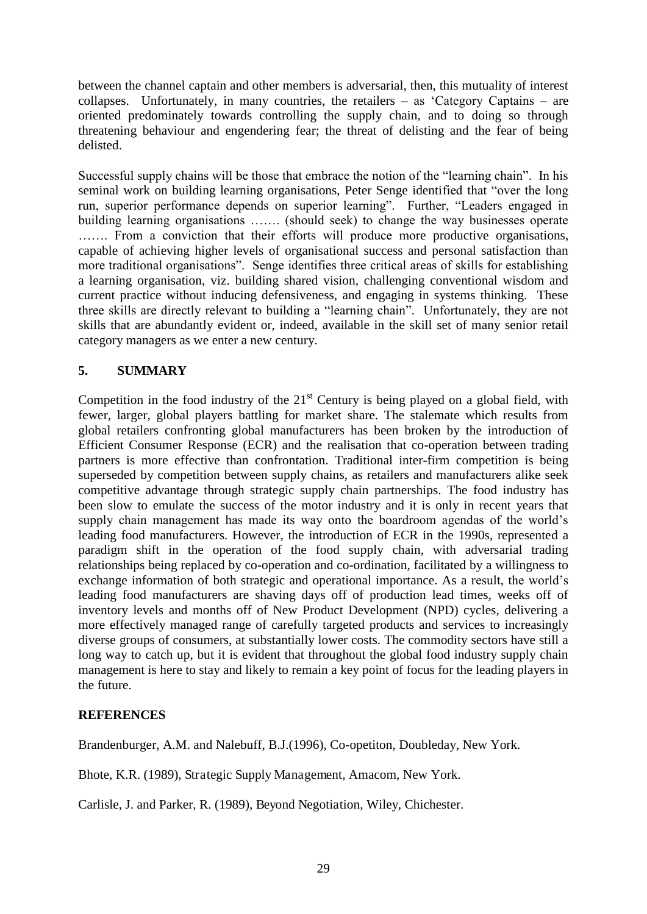between the channel captain and other members is adversarial, then, this mutuality of interest collapses. Unfortunately, in many countries, the retailers – as 'Category Captains – are oriented predominately towards controlling the supply chain, and to doing so through threatening behaviour and engendering fear; the threat of delisting and the fear of being delisted.

Successful supply chains will be those that embrace the notion of the "learning chain". In his seminal work on building learning organisations, Peter Senge identified that "over the long run, superior performance depends on superior learning". Further, "Leaders engaged in building learning organisations ……. (should seek) to change the way businesses operate ……. From a conviction that their efforts will produce more productive organisations, capable of achieving higher levels of organisational success and personal satisfaction than more traditional organisations". Senge identifies three critical areas of skills for establishing a learning organisation, viz. building shared vision, challenging conventional wisdom and current practice without inducing defensiveness, and engaging in systems thinking. These three skills are directly relevant to building a "learning chain". Unfortunately, they are not skills that are abundantly evident or, indeed, available in the skill set of many senior retail category managers as we enter a new century.

#### **5. SUMMARY**

Competition in the food industry of the  $21<sup>st</sup>$  Century is being played on a global field, with fewer, larger, global players battling for market share. The stalemate which results from global retailers confronting global manufacturers has been broken by the introduction of Efficient Consumer Response (ECR) and the realisation that co-operation between trading partners is more effective than confrontation. Traditional inter-firm competition is being superseded by competition between supply chains, as retailers and manufacturers alike seek competitive advantage through strategic supply chain partnerships. The food industry has been slow to emulate the success of the motor industry and it is only in recent years that supply chain management has made its way onto the boardroom agendas of the world's leading food manufacturers. However, the introduction of ECR in the 1990s, represented a paradigm shift in the operation of the food supply chain, with adversarial trading relationships being replaced by co-operation and co-ordination, facilitated by a willingness to exchange information of both strategic and operational importance. As a result, the world's leading food manufacturers are shaving days off of production lead times, weeks off of inventory levels and months off of New Product Development (NPD) cycles, delivering a more effectively managed range of carefully targeted products and services to increasingly diverse groups of consumers, at substantially lower costs. The commodity sectors have still a long way to catch up, but it is evident that throughout the global food industry supply chain management is here to stay and likely to remain a key point of focus for the leading players in the future.

#### **REFERENCES**

Brandenburger, A.M. and Nalebuff, B.J.(1996), Co-opetiton, Doubleday, New York.

Bhote, K.R. (1989), Strategic Supply Management, Amacom, New York.

Carlisle, J. and Parker, R. (1989), Beyond Negotiation, Wiley, Chichester.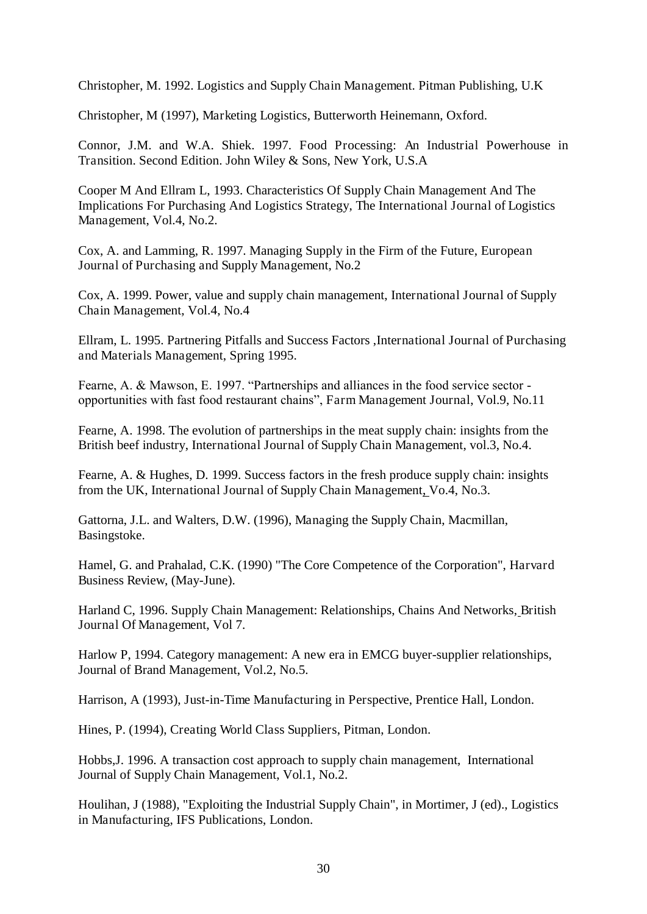Christopher, M. 1992. Logistics and Supply Chain Management. Pitman Publishing, U.K

Christopher, M (1997), Marketing Logistics, Butterworth Heinemann, Oxford.

Connor, J.M. and W.A. Shiek. 1997. Food Processing: An Industrial Powerhouse in Transition. Second Edition. John Wiley & Sons, New York, U.S.A

Cooper M And Ellram L, 1993. Characteristics Of Supply Chain Management And The Implications For Purchasing And Logistics Strategy, The International Journal of Logistics Management, Vol.4, No.2.

Cox, A. and Lamming, R. 1997. Managing Supply in the Firm of the Future, European Journal of Purchasing and Supply Management, No.2

Cox, A. 1999. Power, value and supply chain management, International Journal of Supply Chain Management, Vol.4, No.4

Ellram, L. 1995. Partnering Pitfalls and Success Factors ,International Journal of Purchasing and Materials Management, Spring 1995.

Fearne, A. & Mawson, E. 1997. "Partnerships and alliances in the food service sector opportunities with fast food restaurant chains", Farm Management Journal, Vol.9, No.11

Fearne, A. 1998. The evolution of partnerships in the meat supply chain: insights from the British beef industry, International Journal of Supply Chain Management, vol.3, No.4.

Fearne, A. & Hughes, D. 1999. Success factors in the fresh produce supply chain: insights from the UK, International Journal of Supply Chain Management, Vo.4, No.3.

Gattorna, J.L. and Walters, D.W. (1996), Managing the Supply Chain, Macmillan, Basingstoke.

Hamel, G. and Prahalad, C.K. (1990) "The Core Competence of the Corporation", Harvard Business Review, (May-June).

Harland C, 1996. Supply Chain Management: Relationships, Chains And Networks, British Journal Of Management, Vol 7.

Harlow P, 1994. Category management: A new era in EMCG buyer-supplier relationships, Journal of Brand Management, Vol.2, No.5.

Harrison, A (1993), Just-in-Time Manufacturing in Perspective, Prentice Hall, London.

Hines, P. (1994), Creating World Class Suppliers, Pitman, London.

Hobbs,J. 1996. A transaction cost approach to supply chain management, International Journal of Supply Chain Management, Vol.1, No.2.

Houlihan, J (1988), "Exploiting the Industrial Supply Chain", in Mortimer, J (ed)., Logistics in Manufacturing, IFS Publications, London.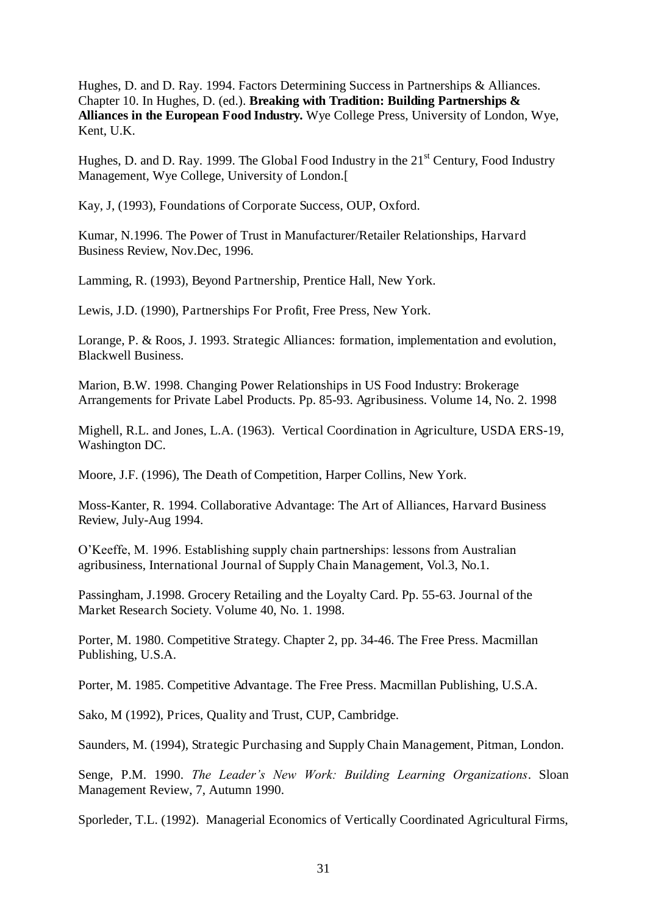Hughes, D. and D. Ray. 1994. Factors Determining Success in Partnerships & Alliances. Chapter 10. In Hughes, D. (ed.). **Breaking with Tradition: Building Partnerships & Alliances in the European Food Industry.** Wye College Press, University of London, Wye, Kent, U.K.

Hughes, D. and D. Ray. 1999. The Global Food Industry in the  $21<sup>st</sup>$  Century, Food Industry Management, Wye College, University of London.[

Kay, J, (1993), Foundations of Corporate Success, OUP, Oxford.

Kumar, N.1996. The Power of Trust in Manufacturer/Retailer Relationships, Harvard Business Review, Nov.Dec, 1996.

Lamming, R. (1993), Beyond Partnership, Prentice Hall, New York.

Lewis, J.D. (1990), Partnerships For Profit, Free Press, New York.

Lorange, P. & Roos, J. 1993. Strategic Alliances: formation, implementation and evolution, Blackwell Business.

Marion, B.W. 1998. Changing Power Relationships in US Food Industry: Brokerage Arrangements for Private Label Products. Pp. 85-93. Agribusiness. Volume 14, No. 2. 1998

Mighell, R.L. and Jones, L.A. (1963). Vertical Coordination in Agriculture, USDA ERS-19, Washington DC.

Moore, J.F. (1996), The Death of Competition, Harper Collins, New York.

Moss-Kanter, R. 1994. Collaborative Advantage: The Art of Alliances, Harvard Business Review, July-Aug 1994.

O'Keeffe, M. 1996. Establishing supply chain partnerships: lessons from Australian agribusiness, International Journal of Supply Chain Management, Vol.3, No.1.

Passingham, J.1998. Grocery Retailing and the Loyalty Card. Pp. 55-63. Journal of the Market Research Society. Volume 40, No. 1. 1998.

Porter, M. 1980. Competitive Strategy. Chapter 2, pp. 34-46. The Free Press. Macmillan Publishing, U.S.A.

Porter, M. 1985. Competitive Advantage. The Free Press. Macmillan Publishing, U.S.A.

Sako, M (1992), Prices, Quality and Trust, CUP, Cambridge.

Saunders, M. (1994), Strategic Purchasing and Supply Chain Management, Pitman, London.

Senge, P.M. 1990. *The Leader's New Work: Building Learning Organizations*. Sloan Management Review, 7, Autumn 1990.

Sporleder, T.L. (1992). Managerial Economics of Vertically Coordinated Agricultural Firms,